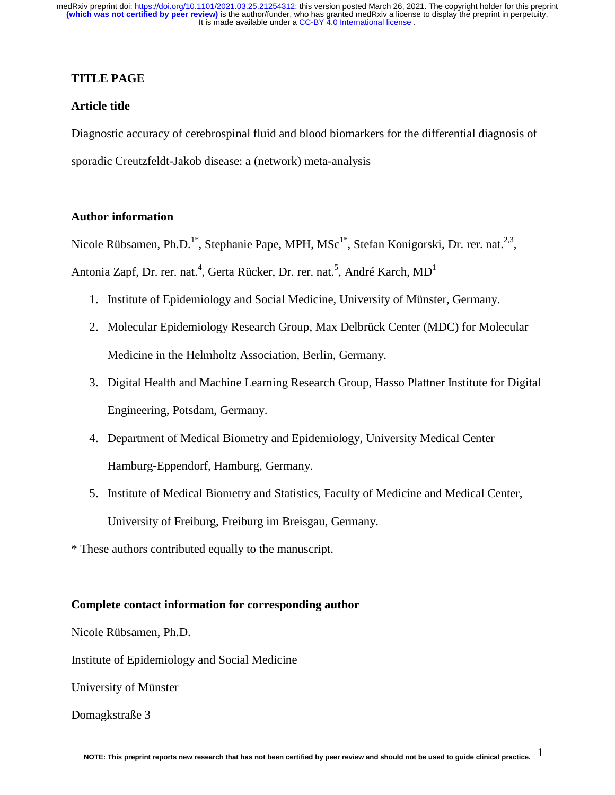## **TITLE PAGE**

## **Article title**

Diagnostic accuracy of cerebrospinal fluid and blood biomarkers for the differential diagnosis of sporadic Creutzfeldt-Jakob disease: a (network) meta-analysis

## **Author information**

Nicole Rübsamen, Ph.D.<sup>1\*</sup>, Stephanie Pape, MPH,  $MSc^{1*}$ , Stefan Konigorski, Dr. rer. nat.<sup>2,3</sup>, Antonia Zapf, Dr. rer. nat.<sup>4</sup>, Gerta Rücker, Dr. rer. nat.<sup>5</sup>, André Karch, MD<sup>1</sup>

- 1. Institute of Epidemiology and Social Medicine, University of Münster, Germany.
- 2. Molecular Epidemiology Research Group, Max Delbrück Center (MDC) for Molecular Medicine in the Helmholtz Association, Berlin, Germany.
- 3. Digital Health and Machine Learning Research Group, Hasso Plattner Institute for Digital Engineering, Potsdam, Germany.
- 4. Department of Medical Biometry and Epidemiology, University Medical Center Hamburg-Eppendorf, Hamburg, Germany.
- 5. Institute of Medical Biometry and Statistics, Faculty of Medicine and Medical Center, University of Freiburg, Freiburg im Breisgau, Germany.
- \* These authors contributed equally to the manuscript.

#### **Complete contact information for corresponding author**

Nicole Rübsamen, Ph.D.

Institute of Epidemiology and Social Medicine

University of Münster

Domagkstraße 3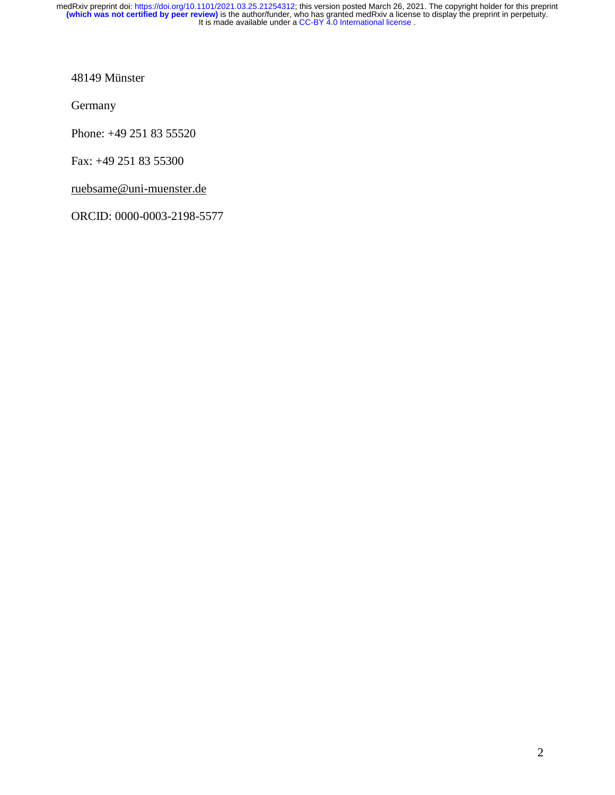48149 Münster

Germany

Phone: +49 251 83 55520

Fax: +49 251 83 55300

ruebsame@uni-muenster.de

ORCID: 0000-0003-2198-5577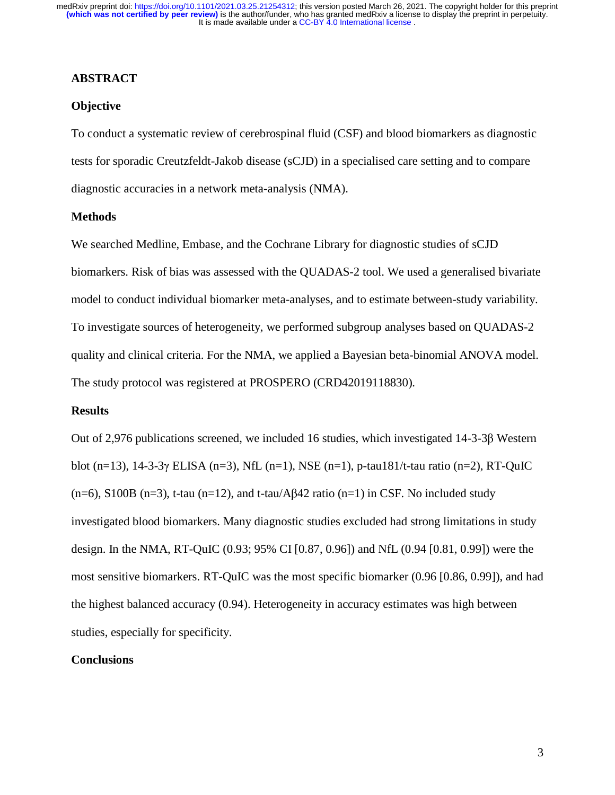#### **ABSTRACT**

#### **Objective**

To conduct a systematic review of cerebrospinal fluid (CSF) and blood biomarkers as diagnostic tests for sporadic Creutzfeldt-Jakob disease (sCJD) in a specialised care setting and to compare diagnostic accuracies in a network meta-analysis (NMA).

#### **Methods**

We searched Medline, Embase, and the Cochrane Library for diagnostic studies of sCJD biomarkers. Risk of bias was assessed with the QUADAS-2 tool. We used a generalised bivariate model to conduct individual biomarker meta-analyses, and to estimate between-study variability. To investigate sources of heterogeneity, we performed subgroup analyses based on QUADAS-2 quality and clinical criteria. For the NMA, we applied a Bayesian beta-binomial ANOVA model. The study protocol was registered at PROSPERO (CRD42019118830).

## **Results**

Out of 2,976 publications screened, we included 16 studies, which investigated 14-3-3β Western blot (n=13), 14-3-3γ ELISA (n=3), NfL (n=1), NSE (n=1), p-tau181/t-tau ratio (n=2), RT-QuIC (n=6), S100B (n=3), t-tau (n=12), and t-tau/ $\widehat{AB42}$  ratio (n=1) in CSF. No included study investigated blood biomarkers. Many diagnostic studies excluded had strong limitations in study design. In the NMA, RT-QuIC (0.93; 95% CI [0.87, 0.96]) and NfL (0.94 [0.81, 0.99]) were the most sensitive biomarkers. RT-QuIC was the most specific biomarker (0.96 [0.86, 0.99]), and had the highest balanced accuracy (0.94). Heterogeneity in accuracy estimates was high between studies, especially for specificity.

#### **Conclusions**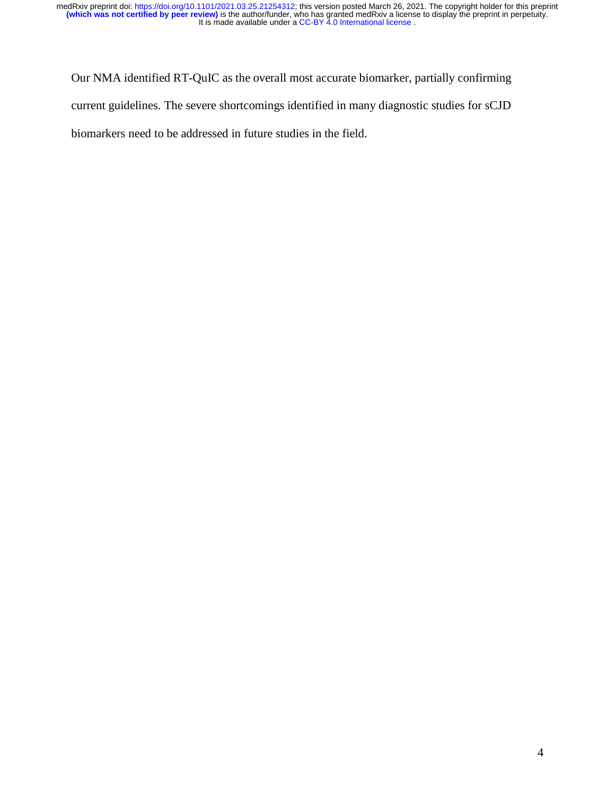Our NMA identified RT-QuIC as the overall most accurate biomarker, partially confirming current guidelines. The severe shortcomings identified in many diagnostic studies for sCJD biomarkers need to be addressed in future studies in the field.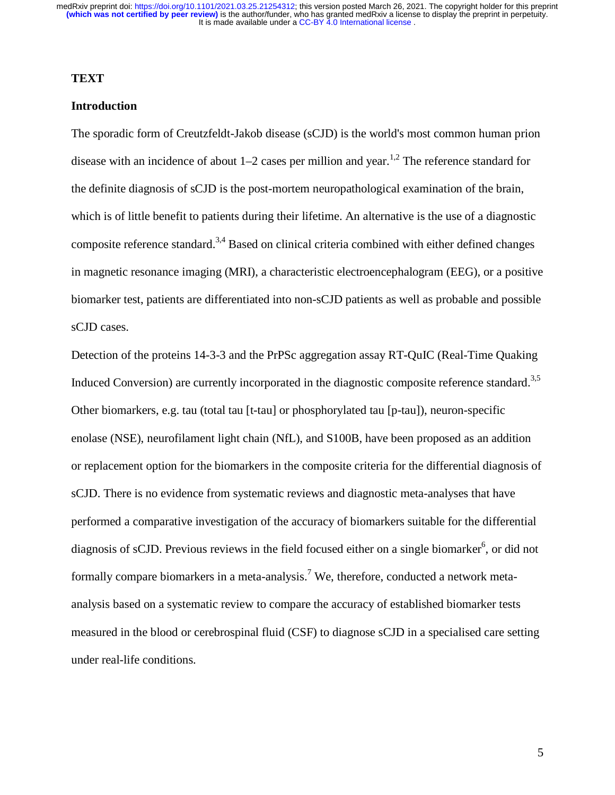## **TEXT**

## **Introduction**

The sporadic form of Creutzfeldt-Jakob disease (sCJD) is the world's most common human prion disease with an incidence of about  $1-2$  cases per million and year.<sup>1,2</sup> The reference standard for the definite diagnosis of sCJD is the post-mortem neuropathological examination of the brain, which is of little benefit to patients during their lifetime. An alternative is the use of a diagnostic composite reference standard.3,4 Based on clinical criteria combined with either defined changes in magnetic resonance imaging (MRI), a characteristic electroencephalogram (EEG), or a positive biomarker test, patients are differentiated into non-sCJD patients as well as probable and possible sCJD cases.

Detection of the proteins 14-3-3 and the PrPSc aggregation assay RT-QuIC (Real-Time Quaking Induced Conversion) are currently incorporated in the diagnostic composite reference standard.<sup>3,5</sup> Other biomarkers, e.g. tau (total tau [t-tau] or phosphorylated tau [p-tau]), neuron-specific enolase (NSE), neurofilament light chain (NfL), and S100B, have been proposed as an addition or replacement option for the biomarkers in the composite criteria for the differential diagnosis of sCJD. There is no evidence from systematic reviews and diagnostic meta-analyses that have performed a comparative investigation of the accuracy of biomarkers suitable for the differential diagnosis of sCJD. Previous reviews in the field focused either on a single biomarker<sup>6</sup>, or did not formally compare biomarkers in a meta-analysis.<sup>7</sup> We, therefore, conducted a network metaanalysis based on a systematic review to compare the accuracy of established biomarker tests measured in the blood or cerebrospinal fluid (CSF) to diagnose sCJD in a specialised care setting under real-life conditions.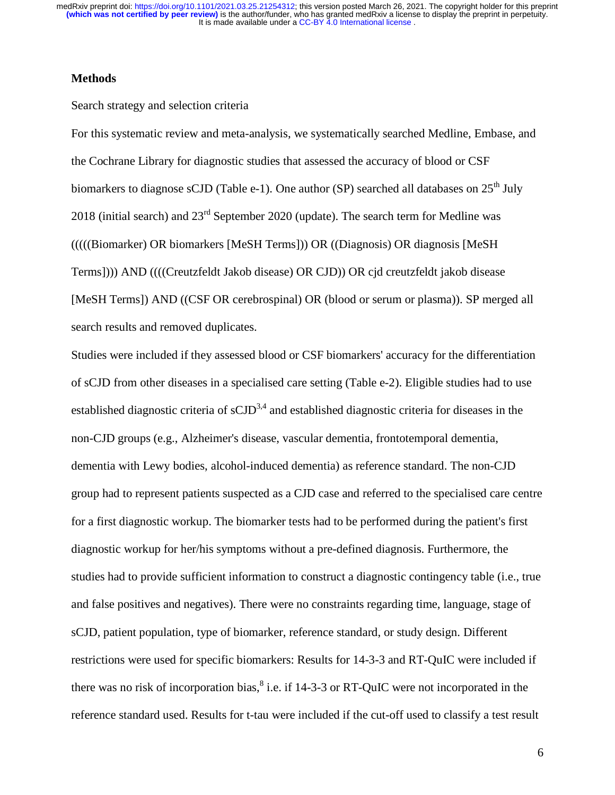## **Methods**

## Search strategy and selection criteria

For this systematic review and meta-analysis, we systematically searched Medline, Embase, and the Cochrane Library for diagnostic studies that assessed the accuracy of blood or CSF biomarkers to diagnose sCJD (Table e-1). One author (SP) searched all databases on  $25<sup>th</sup>$  July 2018 (initial search) and  $23<sup>rd</sup>$  September 2020 (update). The search term for Medline was (((((Biomarker) OR biomarkers [MeSH Terms])) OR ((Diagnosis) OR diagnosis [MeSH Terms]))) AND ((((Creutzfeldt Jakob disease) OR CJD)) OR cjd creutzfeldt jakob disease [MeSH Terms]) AND ((CSF OR cerebrospinal) OR (blood or serum or plasma)). SP merged all search results and removed duplicates.

Studies were included if they assessed blood or CSF biomarkers' accuracy for the differentiation of sCJD from other diseases in a specialised care setting (Table e-2). Eligible studies had to use established diagnostic criteria of  $\mathbf{sCID}^{3,4}$  and established diagnostic criteria for diseases in the non-CJD groups (e.g., Alzheimer's disease, vascular dementia, frontotemporal dementia, dementia with Lewy bodies, alcohol-induced dementia) as reference standard. The non-CJD group had to represent patients suspected as a CJD case and referred to the specialised care centre for a first diagnostic workup. The biomarker tests had to be performed during the patient's first diagnostic workup for her/his symptoms without a pre-defined diagnosis. Furthermore, the studies had to provide sufficient information to construct a diagnostic contingency table (i.e., true and false positives and negatives). There were no constraints regarding time, language, stage of sCJD, patient population, type of biomarker, reference standard, or study design. Different restrictions were used for specific biomarkers: Results for 14-3-3 and RT-QuIC were included if there was no risk of incorporation bias, ${}^{8}$  i.e. if 14-3-3 or RT-QuIC were not incorporated in the reference standard used. Results for t-tau were included if the cut-off used to classify a test result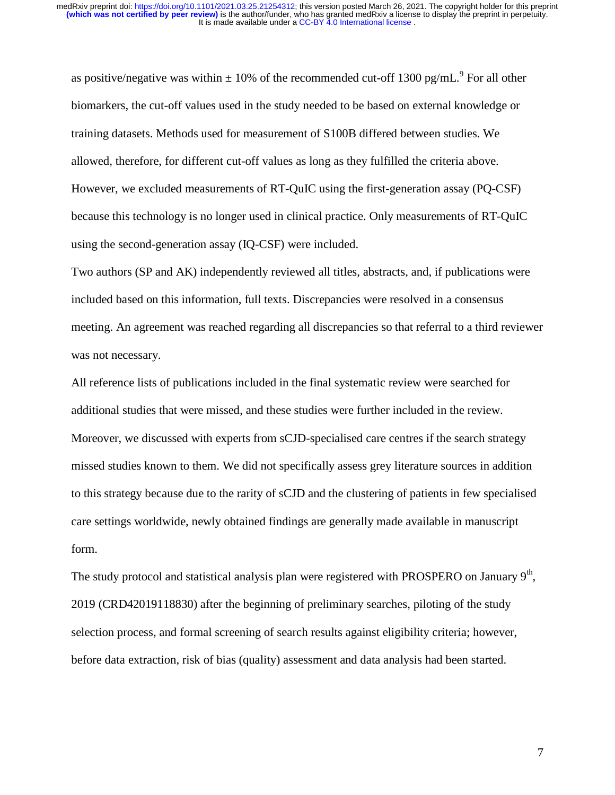as positive/negative was within  $\pm 10\%$  of the recommended cut-off 1300 pg/mL.<sup>9</sup> For all other biomarkers, the cut-off values used in the study needed to be based on external knowledge or training datasets. Methods used for measurement of S100B differed between studies. We allowed, therefore, for different cut-off values as long as they fulfilled the criteria above. However, we excluded measurements of RT-QuIC using the first-generation assay (PQ-CSF) because this technology is no longer used in clinical practice. Only measurements of RT-QuIC using the second-generation assay (IQ-CSF) were included.

Two authors (SP and AK) independently reviewed all titles, abstracts, and, if publications were included based on this information, full texts. Discrepancies were resolved in a consensus meeting. An agreement was reached regarding all discrepancies so that referral to a third reviewer was not necessary.

All reference lists of publications included in the final systematic review were searched for additional studies that were missed, and these studies were further included in the review. Moreover, we discussed with experts from sCJD-specialised care centres if the search strategy missed studies known to them. We did not specifically assess grey literature sources in addition to this strategy because due to the rarity of sCJD and the clustering of patients in few specialised care settings worldwide, newly obtained findings are generally made available in manuscript form.

The study protocol and statistical analysis plan were registered with PROSPERO on January 9<sup>th</sup>, 2019 (CRD42019118830) after the beginning of preliminary searches, piloting of the study selection process, and formal screening of search results against eligibility criteria; however, before data extraction, risk of bias (quality) assessment and data analysis had been started.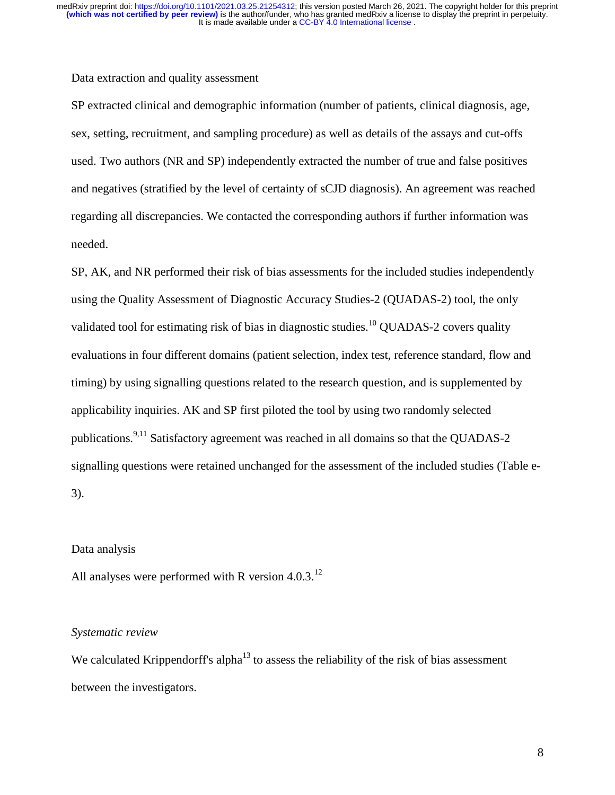Data extraction and quality assessment

SP extracted clinical and demographic information (number of patients, clinical diagnosis, age, sex, setting, recruitment, and sampling procedure) as well as details of the assays and cut-offs used. Two authors (NR and SP) independently extracted the number of true and false positives and negatives (stratified by the level of certainty of sCJD diagnosis). An agreement was reached regarding all discrepancies. We contacted the corresponding authors if further information was needed.

SP, AK, and NR performed their risk of bias assessments for the included studies independently using the Quality Assessment of Diagnostic Accuracy Studies-2 (QUADAS-2) tool, the only validated tool for estimating risk of bias in diagnostic studies.<sup>10</sup> QUADAS-2 covers quality evaluations in four different domains (patient selection, index test, reference standard, flow and timing) by using signalling questions related to the research question, and is supplemented by applicability inquiries. AK and SP first piloted the tool by using two randomly selected publications.<sup>9,11</sup> Satisfactory agreement was reached in all domains so that the OUADAS-2 signalling questions were retained unchanged for the assessment of the included studies (Table e-3).

#### Data analysis

All analyses were performed with R version  $4.0.3<sup>12</sup>$ 

## *Systematic review*

We calculated Krippendorff's alpha $^{13}$  to assess the reliability of the risk of bias assessment between the investigators.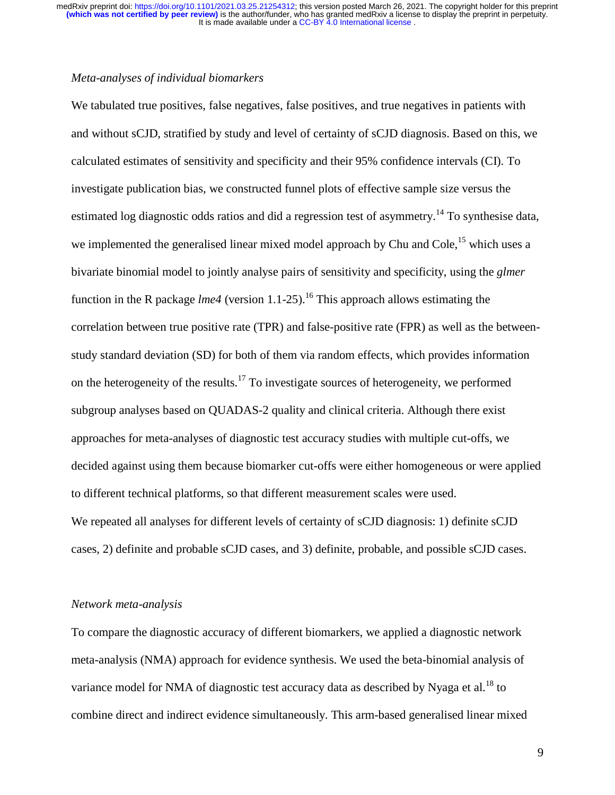## *Meta-analyses of individual biomarkers*

We tabulated true positives, false negatives, false positives, and true negatives in patients with and without sCJD, stratified by study and level of certainty of sCJD diagnosis. Based on this, we calculated estimates of sensitivity and specificity and their 95% confidence intervals (CI). To investigate publication bias, we constructed funnel plots of effective sample size versus the estimated log diagnostic odds ratios and did a regression test of asymmetry.<sup>14</sup> To synthesise data, we implemented the generalised linear mixed model approach by Chu and Cole,<sup>15</sup> which uses a bivariate binomial model to jointly analyse pairs of sensitivity and specificity, using the *glmer* function in the R package *lme4* (version 1.1-25).<sup>16</sup> This approach allows estimating the correlation between true positive rate (TPR) and false-positive rate (FPR) as well as the betweenstudy standard deviation (SD) for both of them via random effects, which provides information on the heterogeneity of the results.<sup>17</sup> To investigate sources of heterogeneity, we performed subgroup analyses based on QUADAS-2 quality and clinical criteria. Although there exist approaches for meta-analyses of diagnostic test accuracy studies with multiple cut-offs, we decided against using them because biomarker cut-offs were either homogeneous or were applied to different technical platforms, so that different measurement scales were used. We repeated all analyses for different levels of certainty of sCJD diagnosis: 1) definite sCJD cases, 2) definite and probable sCJD cases, and 3) definite, probable, and possible sCJD cases.

#### *Network meta-analysis*

To compare the diagnostic accuracy of different biomarkers, we applied a diagnostic network meta-analysis (NMA) approach for evidence synthesis. We used the beta-binomial analysis of variance model for NMA of diagnostic test accuracy data as described by Nyaga et al.<sup>18</sup> to combine direct and indirect evidence simultaneously. This arm-based generalised linear mixed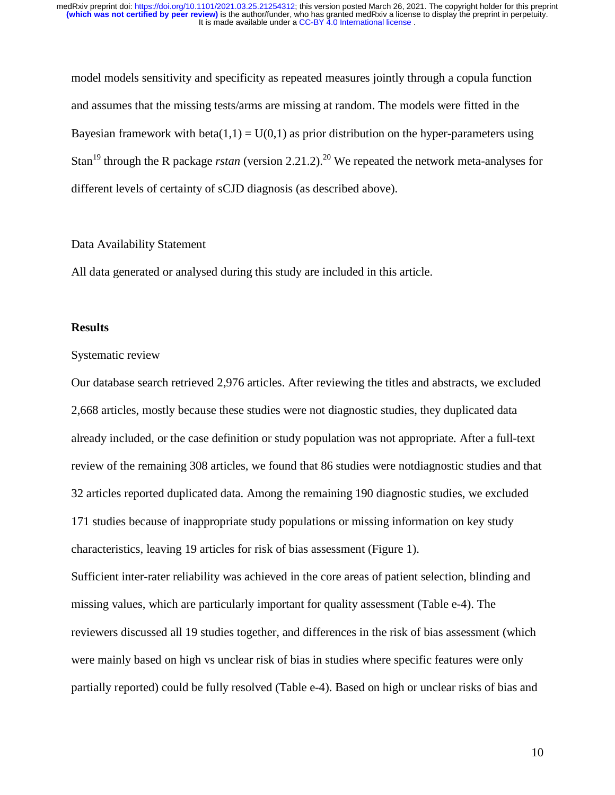model models sensitivity and specificity as repeated measures jointly through a copula function and assumes that the missing tests/arms are missing at random. The models were fitted in the Bayesian framework with beta $(1,1) = U(0,1)$  as prior distribution on the hyper-parameters using Stan<sup>19</sup> through the R package *rstan* (version 2.21.2).<sup>20</sup> We repeated the network meta-analyses for different levels of certainty of sCJD diagnosis (as described above).

#### Data Availability Statement

All data generated or analysed during this study are included in this article.

## **Results**

#### Systematic review

Our database search retrieved 2,976 articles. After reviewing the titles and abstracts, we excluded 2,668 articles, mostly because these studies were not diagnostic studies, they duplicated data already included, or the case definition or study population was not appropriate. After a full-text review of the remaining 308 articles, we found that 86 studies were notdiagnostic studies and that 32 articles reported duplicated data. Among the remaining 190 diagnostic studies, we excluded 171 studies because of inappropriate study populations or missing information on key study characteristics, leaving 19 articles for risk of bias assessment (Figure 1). Sufficient inter-rater reliability was achieved in the core areas of patient selection, blinding and missing values, which are particularly important for quality assessment (Table e-4). The reviewers discussed all 19 studies together, and differences in the risk of bias assessment (which were mainly based on high vs unclear risk of bias in studies where specific features were only partially reported) could be fully resolved (Table e-4). Based on high or unclear risks of bias and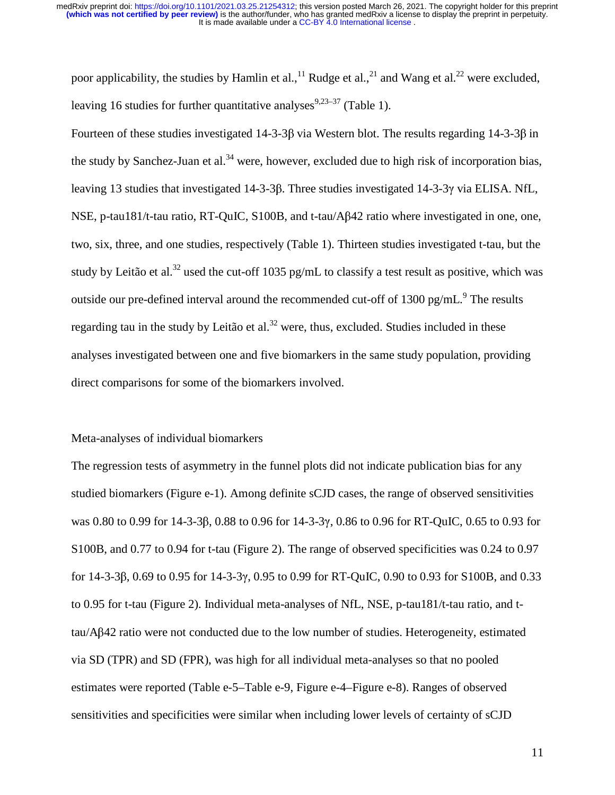poor applicability, the studies by Hamlin et al.,<sup>11</sup> Rudge et al.,<sup>21</sup> and Wang et al.<sup>22</sup> were excluded, leaving 16 studies for further quantitative analyses<sup>9,23–37</sup> (Table 1).

Fourteen of these studies investigated 14-3-3β via Western blot. The results regarding 14-3-3β in the study by Sanchez-Juan et al.<sup>34</sup> were, however, excluded due to high risk of incorporation bias, leaving 13 studies that investigated 14-3-3β. Three studies investigated 14-3-3γ via ELISA. NfL, NSE, p-tau181/t-tau ratio, RT-QuIC, S100B, and t-tau/Aβ42 ratio where investigated in one, one, two, six, three, and one studies, respectively (Table 1). Thirteen studies investigated t-tau, but the study by Leitão et al.<sup>32</sup> used the cut-off 1035 pg/mL to classify a test result as positive, which was outside our pre-defined interval around the recommended cut-off of  $1300 \text{ pg/mL}$ .<sup>9</sup> The results regarding tau in the study by Leitão et al. $32$  were, thus, excluded. Studies included in these analyses investigated between one and five biomarkers in the same study population, providing direct comparisons for some of the biomarkers involved.

#### Meta-analyses of individual biomarkers

The regression tests of asymmetry in the funnel plots did not indicate publication bias for any studied biomarkers (Figure e-1). Among definite sCJD cases, the range of observed sensitivities was 0.80 to 0.99 for 14-3-3β, 0.88 to 0.96 for 14-3-3γ, 0.86 to 0.96 for RT-QuIC, 0.65 to 0.93 for S100B, and 0.77 to 0.94 for t-tau (Figure 2). The range of observed specificities was 0.24 to 0.97 for 14-3-3β, 0.69 to 0.95 for 14-3-3γ, 0.95 to 0.99 for RT-QuIC, 0.90 to 0.93 for S100B, and 0.33 to 0.95 for t-tau (Figure 2). Individual meta-analyses of NfL, NSE, p-tau181/t-tau ratio, and ttau/Aβ42 ratio were not conducted due to the low number of studies. Heterogeneity, estimated via SD (TPR) and SD (FPR), was high for all individual meta-analyses so that no pooled estimates were reported (Table e-5–Table e-9, Figure e-4–Figure e-8). Ranges of observed sensitivities and specificities were similar when including lower levels of certainty of sCJD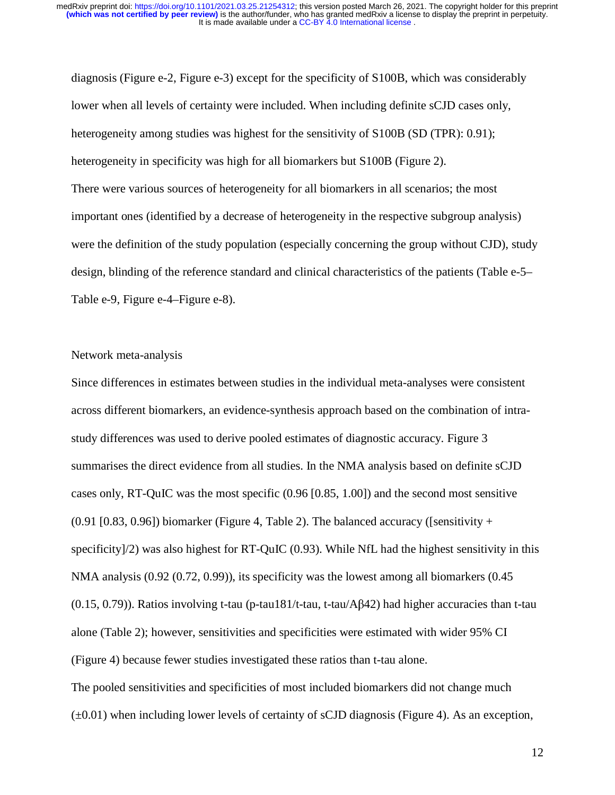diagnosis (Figure e-2, Figure e-3) except for the specificity of S100B, which was considerably lower when all levels of certainty were included. When including definite sCJD cases only, heterogeneity among studies was highest for the sensitivity of S100B (SD (TPR): 0.91); heterogeneity in specificity was high for all biomarkers but S100B (Figure 2). There were various sources of heterogeneity for all biomarkers in all scenarios; the most important ones (identified by a decrease of heterogeneity in the respective subgroup analysis) were the definition of the study population (especially concerning the group without CJD), study design, blinding of the reference standard and clinical characteristics of the patients (Table e-5– Table e-9, Figure e-4–Figure e-8).

## Network meta-analysis

Since differences in estimates between studies in the individual meta-analyses were consistent across different biomarkers, an evidence-synthesis approach based on the combination of intrastudy differences was used to derive pooled estimates of diagnostic accuracy. Figure 3 summarises the direct evidence from all studies. In the NMA analysis based on definite sCJD cases only, RT-QuIC was the most specific (0.96 [0.85, 1.00]) and the second most sensitive  $(0.91 \, [0.83, 0.96])$  biomarker (Figure 4, Table 2). The balanced accuracy ([sensitivity + specificity]/2) was also highest for RT-QuIC (0.93). While NfL had the highest sensitivity in this NMA analysis (0.92 (0.72, 0.99)), its specificity was the lowest among all biomarkers (0.45  $(0.15, 0.79)$ ). Ratios involving t-tau (p-tau181/t-tau, t-tau/A $\beta$ 42) had higher accuracies than t-tau alone (Table 2); however, sensitivities and specificities were estimated with wider 95% CI (Figure 4) because fewer studies investigated these ratios than t-tau alone. The pooled sensitivities and specificities of most included biomarkers did not change much  $(\pm 0.01)$  when including lower levels of certainty of sCJD diagnosis (Figure 4). As an exception,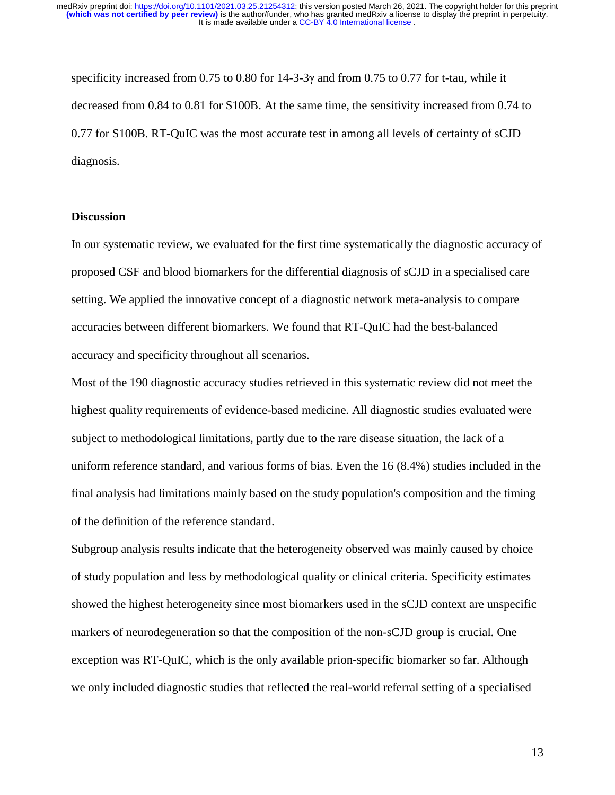specificity increased from 0.75 to 0.80 for 14-3-3γ and from 0.75 to 0.77 for t-tau, while it decreased from 0.84 to 0.81 for S100B. At the same time, the sensitivity increased from 0.74 to 0.77 for S100B. RT-QuIC was the most accurate test in among all levels of certainty of sCJD diagnosis.

## **Discussion**

In our systematic review, we evaluated for the first time systematically the diagnostic accuracy of proposed CSF and blood biomarkers for the differential diagnosis of sCJD in a specialised care setting. We applied the innovative concept of a diagnostic network meta-analysis to compare accuracies between different biomarkers. We found that RT-QuIC had the best-balanced accuracy and specificity throughout all scenarios.

Most of the 190 diagnostic accuracy studies retrieved in this systematic review did not meet the highest quality requirements of evidence-based medicine. All diagnostic studies evaluated were subject to methodological limitations, partly due to the rare disease situation, the lack of a uniform reference standard, and various forms of bias. Even the 16 (8.4%) studies included in the final analysis had limitations mainly based on the study population's composition and the timing of the definition of the reference standard.

Subgroup analysis results indicate that the heterogeneity observed was mainly caused by choice of study population and less by methodological quality or clinical criteria. Specificity estimates showed the highest heterogeneity since most biomarkers used in the sCJD context are unspecific markers of neurodegeneration so that the composition of the non-sCJD group is crucial. One exception was RT-QuIC, which is the only available prion-specific biomarker so far. Although we only included diagnostic studies that reflected the real-world referral setting of a specialised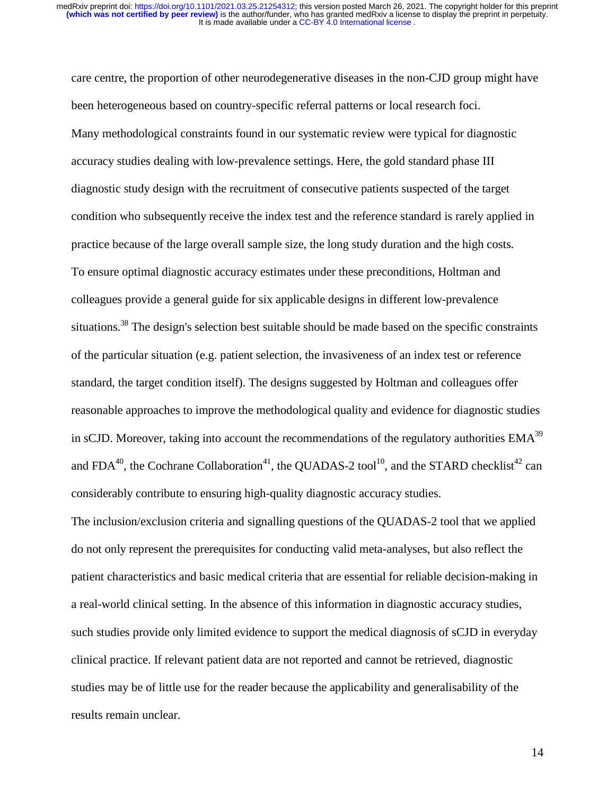care centre, the proportion of other neurodegenerative diseases in the non-CJD group might have been heterogeneous based on country-specific referral patterns or local research foci. Many methodological constraints found in our systematic review were typical for diagnostic accuracy studies dealing with low-prevalence settings. Here, the gold standard phase III diagnostic study design with the recruitment of consecutive patients suspected of the target condition who subsequently receive the index test and the reference standard is rarely applied in practice because of the large overall sample size, the long study duration and the high costs. To ensure optimal diagnostic accuracy estimates under these preconditions, Holtman and colleagues provide a general guide for six applicable designs in different low-prevalence situations.<sup>38</sup> The design's selection best suitable should be made based on the specific constraints of the particular situation (e.g. patient selection, the invasiveness of an index test or reference standard, the target condition itself). The designs suggested by Holtman and colleagues offer reasonable approaches to improve the methodological quality and evidence for diagnostic studies in sCJD. Moreover, taking into account the recommendations of the regulatory authorities EMA<sup>39</sup> and FDA<sup>40</sup>, the Cochrane Collaboration<sup>41</sup>, the QUADAS-2 tool<sup>10</sup>, and the STARD checklist<sup>42</sup> can considerably contribute to ensuring high-quality diagnostic accuracy studies.

The inclusion/exclusion criteria and signalling questions of the QUADAS-2 tool that we applied do not only represent the prerequisites for conducting valid meta-analyses, but also reflect the patient characteristics and basic medical criteria that are essential for reliable decision-making in a real-world clinical setting. In the absence of this information in diagnostic accuracy studies, such studies provide only limited evidence to support the medical diagnosis of sCJD in everyday clinical practice. If relevant patient data are not reported and cannot be retrieved, diagnostic studies may be of little use for the reader because the applicability and generalisability of the results remain unclear.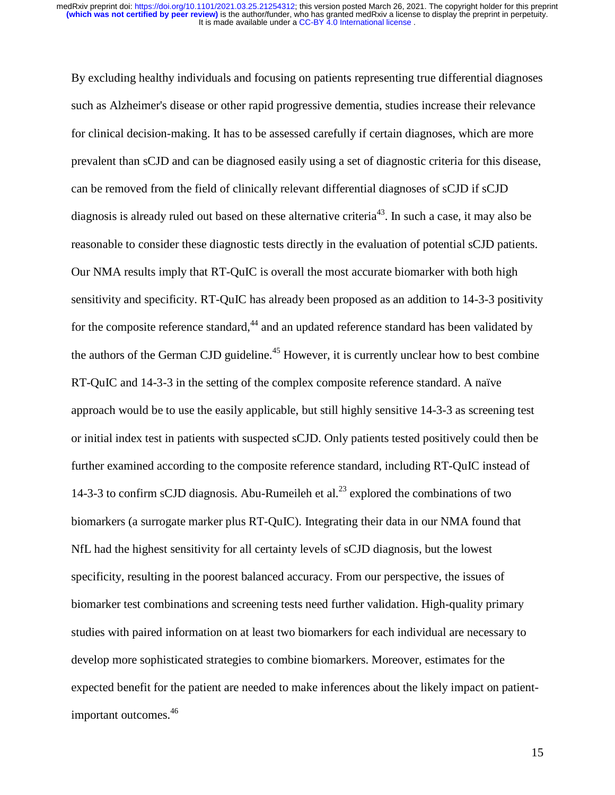By excluding healthy individuals and focusing on patients representing true differential diagnoses such as Alzheimer's disease or other rapid progressive dementia, studies increase their relevance for clinical decision-making. It has to be assessed carefully if certain diagnoses, which are more prevalent than sCJD and can be diagnosed easily using a set of diagnostic criteria for this disease, can be removed from the field of clinically relevant differential diagnoses of sCJD if sCJD diagnosis is already ruled out based on these alternative criteria<sup>43</sup>. In such a case, it may also be reasonable to consider these diagnostic tests directly in the evaluation of potential sCJD patients. Our NMA results imply that RT-QuIC is overall the most accurate biomarker with both high sensitivity and specificity. RT-QuIC has already been proposed as an addition to 14-3-3 positivity for the composite reference standard, $44$  and an updated reference standard has been validated by the authors of the German CJD guideline.<sup>45</sup> However, it is currently unclear how to best combine RT-QuIC and 14-3-3 in the setting of the complex composite reference standard. A naïve approach would be to use the easily applicable, but still highly sensitive 14-3-3 as screening test or initial index test in patients with suspected sCJD. Only patients tested positively could then be further examined according to the composite reference standard, including RT-QuIC instead of 14-3-3 to confirm sCJD diagnosis. Abu-Rumeileh et al.<sup>23</sup> explored the combinations of two biomarkers (a surrogate marker plus RT-QuIC). Integrating their data in our NMA found that NfL had the highest sensitivity for all certainty levels of sCJD diagnosis, but the lowest specificity, resulting in the poorest balanced accuracy. From our perspective, the issues of biomarker test combinations and screening tests need further validation. High-quality primary studies with paired information on at least two biomarkers for each individual are necessary to develop more sophisticated strategies to combine biomarkers. Moreover, estimates for the expected benefit for the patient are needed to make inferences about the likely impact on patientimportant outcomes.<sup>46</sup>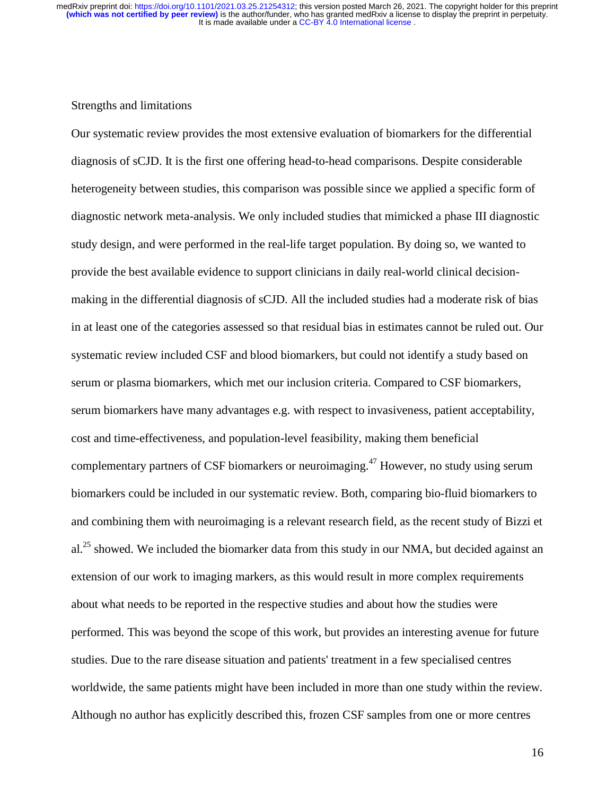#### Strengths and limitations

Our systematic review provides the most extensive evaluation of biomarkers for the differential diagnosis of sCJD. It is the first one offering head-to-head comparisons. Despite considerable heterogeneity between studies, this comparison was possible since we applied a specific form of diagnostic network meta-analysis. We only included studies that mimicked a phase III diagnostic study design, and were performed in the real-life target population. By doing so, we wanted to provide the best available evidence to support clinicians in daily real-world clinical decisionmaking in the differential diagnosis of sCJD. All the included studies had a moderate risk of bias in at least one of the categories assessed so that residual bias in estimates cannot be ruled out. Our systematic review included CSF and blood biomarkers, but could not identify a study based on serum or plasma biomarkers, which met our inclusion criteria. Compared to CSF biomarkers, serum biomarkers have many advantages e.g. with respect to invasiveness, patient acceptability, cost and time-effectiveness, and population-level feasibility, making them beneficial complementary partners of CSF biomarkers or neuroimaging.<sup>47</sup> However, no study using serum biomarkers could be included in our systematic review. Both, comparing bio-fluid biomarkers to and combining them with neuroimaging is a relevant research field, as the recent study of Bizzi et al.<sup>25</sup> showed. We included the biomarker data from this study in our NMA, but decided against an extension of our work to imaging markers, as this would result in more complex requirements about what needs to be reported in the respective studies and about how the studies were performed. This was beyond the scope of this work, but provides an interesting avenue for future studies. Due to the rare disease situation and patients' treatment in a few specialised centres worldwide, the same patients might have been included in more than one study within the review. Although no author has explicitly described this, frozen CSF samples from one or more centres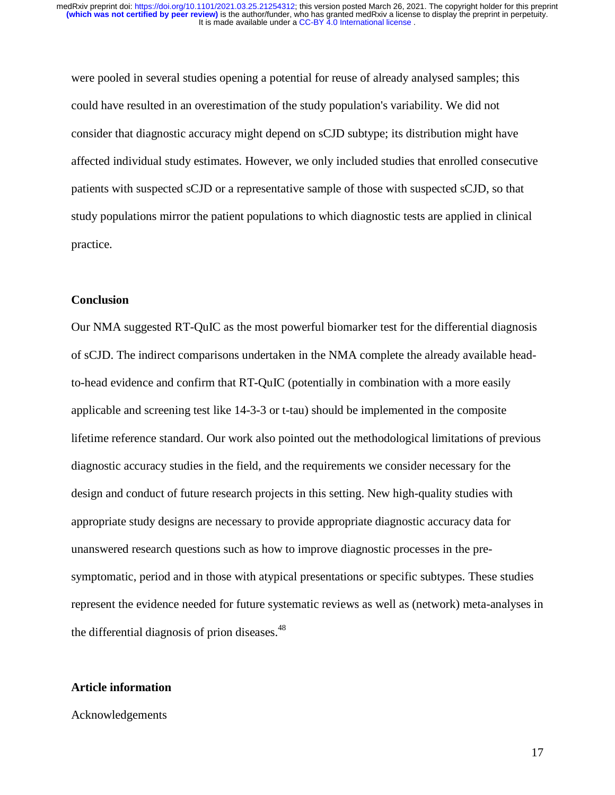were pooled in several studies opening a potential for reuse of already analysed samples; this could have resulted in an overestimation of the study population's variability. We did not consider that diagnostic accuracy might depend on sCJD subtype; its distribution might have affected individual study estimates. However, we only included studies that enrolled consecutive patients with suspected sCJD or a representative sample of those with suspected sCJD, so that study populations mirror the patient populations to which diagnostic tests are applied in clinical practice.

#### **Conclusion**

Our NMA suggested RT-QuIC as the most powerful biomarker test for the differential diagnosis of sCJD. The indirect comparisons undertaken in the NMA complete the already available headto-head evidence and confirm that RT-QuIC (potentially in combination with a more easily applicable and screening test like 14-3-3 or t-tau) should be implemented in the composite lifetime reference standard. Our work also pointed out the methodological limitations of previous diagnostic accuracy studies in the field, and the requirements we consider necessary for the design and conduct of future research projects in this setting. New high-quality studies with appropriate study designs are necessary to provide appropriate diagnostic accuracy data for unanswered research questions such as how to improve diagnostic processes in the presymptomatic, period and in those with atypical presentations or specific subtypes. These studies represent the evidence needed for future systematic reviews as well as (network) meta-analyses in the differential diagnosis of prion diseases.<sup>48</sup>

#### **Article information**

#### Acknowledgements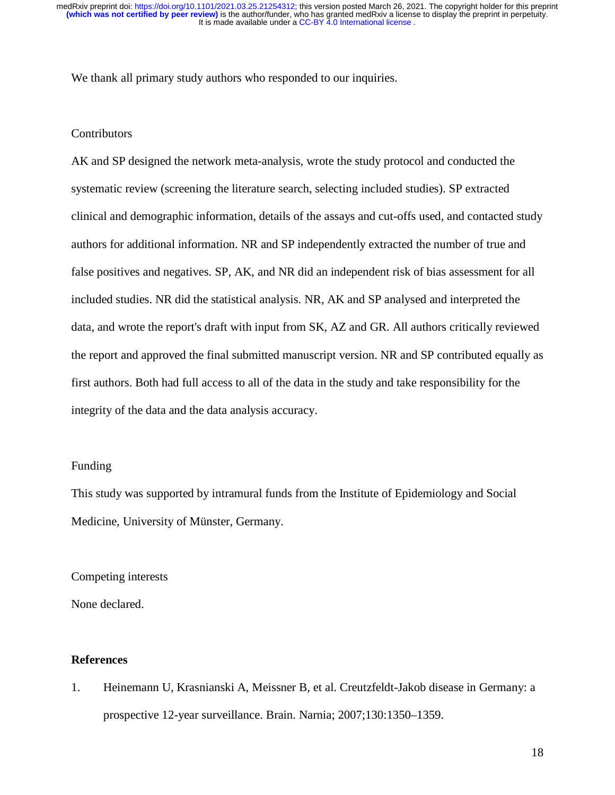We thank all primary study authors who responded to our inquiries.

## **Contributors**

AK and SP designed the network meta-analysis, wrote the study protocol and conducted the systematic review (screening the literature search, selecting included studies). SP extracted clinical and demographic information, details of the assays and cut-offs used, and contacted study authors for additional information. NR and SP independently extracted the number of true and false positives and negatives. SP, AK, and NR did an independent risk of bias assessment for all included studies. NR did the statistical analysis. NR, AK and SP analysed and interpreted the data, and wrote the report's draft with input from SK, AZ and GR. All authors critically reviewed the report and approved the final submitted manuscript version. NR and SP contributed equally as first authors. Both had full access to all of the data in the study and take responsibility for the integrity of the data and the data analysis accuracy.

## Funding

This study was supported by intramural funds from the Institute of Epidemiology and Social Medicine, University of Münster, Germany.

Competing interests

None declared.

## **References**

1. Heinemann U, Krasnianski A, Meissner B, et al. Creutzfeldt-Jakob disease in Germany: a prospective 12-year surveillance. Brain. Narnia; 2007;130:1350–1359.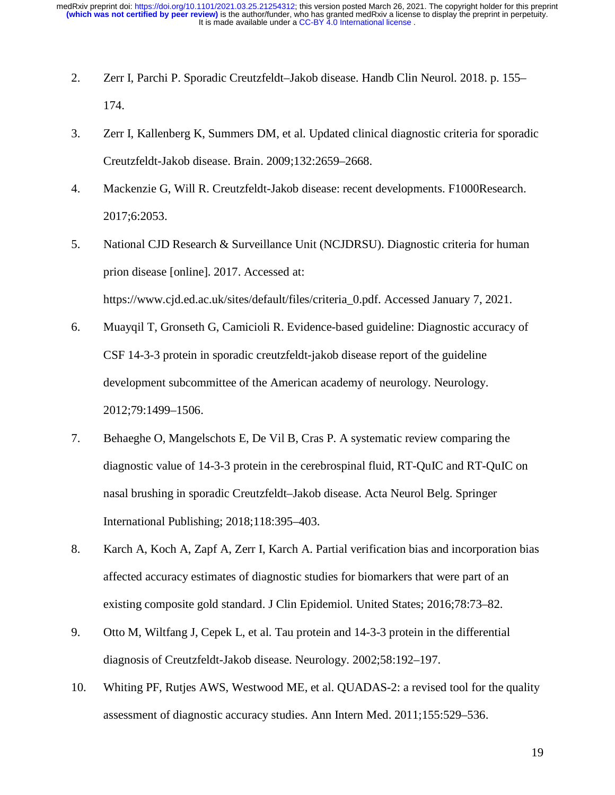- 2. Zerr I, Parchi P. Sporadic Creutzfeldt–Jakob disease. Handb Clin Neurol. 2018. p. 155– 174.
- 3. Zerr I, Kallenberg K, Summers DM, et al. Updated clinical diagnostic criteria for sporadic Creutzfeldt-Jakob disease. Brain. 2009;132:2659–2668.
- 4. Mackenzie G, Will R. Creutzfeldt-Jakob disease: recent developments. F1000Research. 2017;6:2053.
- 5. National CJD Research & Surveillance Unit (NCJDRSU). Diagnostic criteria for human prion disease [online]. 2017. Accessed at: https://www.cjd.ed.ac.uk/sites/default/files/criteria\_0.pdf. Accessed January 7, 2021.
- 6. Muayqil T, Gronseth G, Camicioli R. Evidence-based guideline: Diagnostic accuracy of CSF 14-3-3 protein in sporadic creutzfeldt-jakob disease report of the guideline development subcommittee of the American academy of neurology. Neurology. 2012;79:1499–1506.
- 7. Behaeghe O, Mangelschots E, De Vil B, Cras P. A systematic review comparing the diagnostic value of 14-3-3 protein in the cerebrospinal fluid, RT-QuIC and RT-QuIC on nasal brushing in sporadic Creutzfeldt–Jakob disease. Acta Neurol Belg. Springer International Publishing; 2018;118:395–403.
- 8. Karch A, Koch A, Zapf A, Zerr I, Karch A. Partial verification bias and incorporation bias affected accuracy estimates of diagnostic studies for biomarkers that were part of an existing composite gold standard. J Clin Epidemiol. United States; 2016;78:73–82.
- 9. Otto M, Wiltfang J, Cepek L, et al. Tau protein and 14-3-3 protein in the differential diagnosis of Creutzfeldt-Jakob disease. Neurology. 2002;58:192–197.
- 10. Whiting PF, Rutjes AWS, Westwood ME, et al. QUADAS-2: a revised tool for the quality assessment of diagnostic accuracy studies. Ann Intern Med. 2011;155:529–536.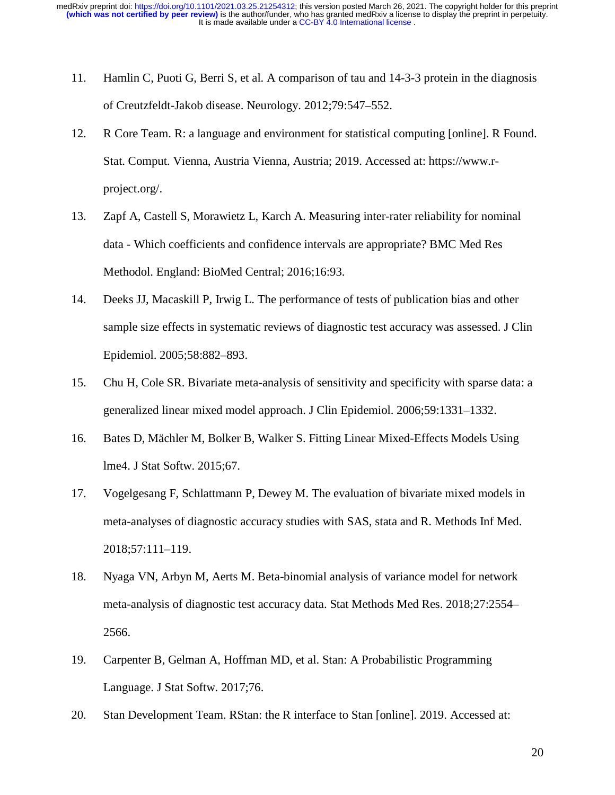- 11. Hamlin C, Puoti G, Berri S, et al. A comparison of tau and 14-3-3 protein in the diagnosis of Creutzfeldt-Jakob disease. Neurology. 2012;79:547–552.
- 12. R Core Team. R: a language and environment for statistical computing [online]. R Found. Stat. Comput. Vienna, Austria Vienna, Austria; 2019. Accessed at: https://www.rproject.org/.
- 13. Zapf A, Castell S, Morawietz L, Karch A. Measuring inter-rater reliability for nominal data - Which coefficients and confidence intervals are appropriate? BMC Med Res Methodol. England: BioMed Central; 2016;16:93.
- 14. Deeks JJ, Macaskill P, Irwig L. The performance of tests of publication bias and other sample size effects in systematic reviews of diagnostic test accuracy was assessed. J Clin Epidemiol. 2005;58:882–893.
- 15. Chu H, Cole SR. Bivariate meta-analysis of sensitivity and specificity with sparse data: a generalized linear mixed model approach. J Clin Epidemiol. 2006;59:1331–1332.
- 16. Bates D, Mächler M, Bolker B, Walker S. Fitting Linear Mixed-Effects Models Using lme4. J Stat Softw. 2015;67.
- 17. Vogelgesang F, Schlattmann P, Dewey M. The evaluation of bivariate mixed models in meta-analyses of diagnostic accuracy studies with SAS, stata and R. Methods Inf Med. 2018;57:111–119.
- 18. Nyaga VN, Arbyn M, Aerts M. Beta-binomial analysis of variance model for network meta-analysis of diagnostic test accuracy data. Stat Methods Med Res. 2018;27:2554– 2566.
- 19. Carpenter B, Gelman A, Hoffman MD, et al. Stan: A Probabilistic Programming Language. J Stat Softw. 2017;76.
- 20. Stan Development Team. RStan: the R interface to Stan [online]. 2019. Accessed at: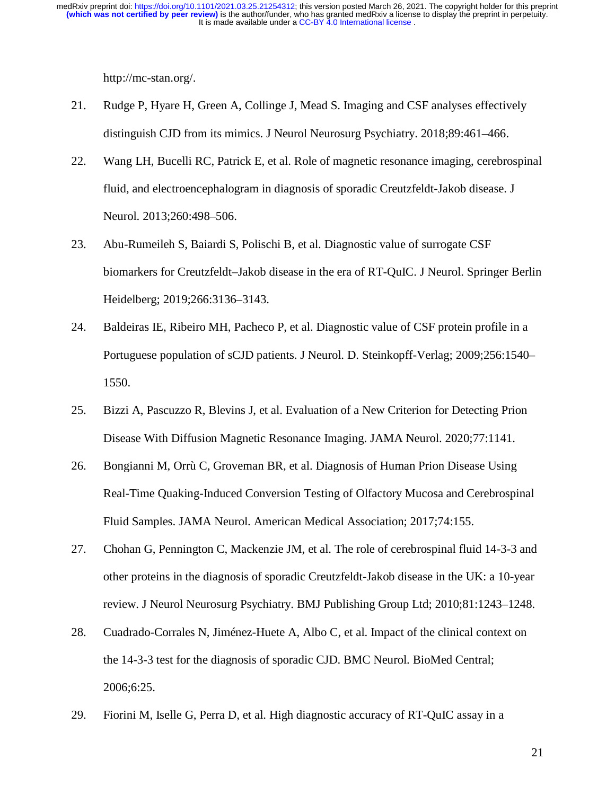http://mc-stan.org/.

- 21. Rudge P, Hyare H, Green A, Collinge J, Mead S. Imaging and CSF analyses effectively distinguish CJD from its mimics. J Neurol Neurosurg Psychiatry. 2018;89:461–466.
- 22. Wang LH, Bucelli RC, Patrick E, et al. Role of magnetic resonance imaging, cerebrospinal fluid, and electroencephalogram in diagnosis of sporadic Creutzfeldt-Jakob disease. J Neurol. 2013;260:498–506.
- 23. Abu-Rumeileh S, Baiardi S, Polischi B, et al. Diagnostic value of surrogate CSF biomarkers for Creutzfeldt–Jakob disease in the era of RT-QuIC. J Neurol. Springer Berlin Heidelberg; 2019;266:3136–3143.
- 24. Baldeiras IE, Ribeiro MH, Pacheco P, et al. Diagnostic value of CSF protein profile in a Portuguese population of sCJD patients. J Neurol. D. Steinkopff-Verlag; 2009;256:1540– 1550.
- 25. Bizzi A, Pascuzzo R, Blevins J, et al. Evaluation of a New Criterion for Detecting Prion Disease With Diffusion Magnetic Resonance Imaging. JAMA Neurol. 2020;77:1141.
- 26. Bongianni M, Orrù C, Groveman BR, et al. Diagnosis of Human Prion Disease Using Real-Time Quaking-Induced Conversion Testing of Olfactory Mucosa and Cerebrospinal Fluid Samples. JAMA Neurol. American Medical Association; 2017;74:155.
- 27. Chohan G, Pennington C, Mackenzie JM, et al. The role of cerebrospinal fluid 14-3-3 and other proteins in the diagnosis of sporadic Creutzfeldt-Jakob disease in the UK: a 10-year review. J Neurol Neurosurg Psychiatry. BMJ Publishing Group Ltd; 2010;81:1243–1248.
- 28. Cuadrado-Corrales N, Jiménez-Huete A, Albo C, et al. Impact of the clinical context on the 14-3-3 test for the diagnosis of sporadic CJD. BMC Neurol. BioMed Central; 2006;6:25.
- 29. Fiorini M, Iselle G, Perra D, et al. High diagnostic accuracy of RT-QuIC assay in a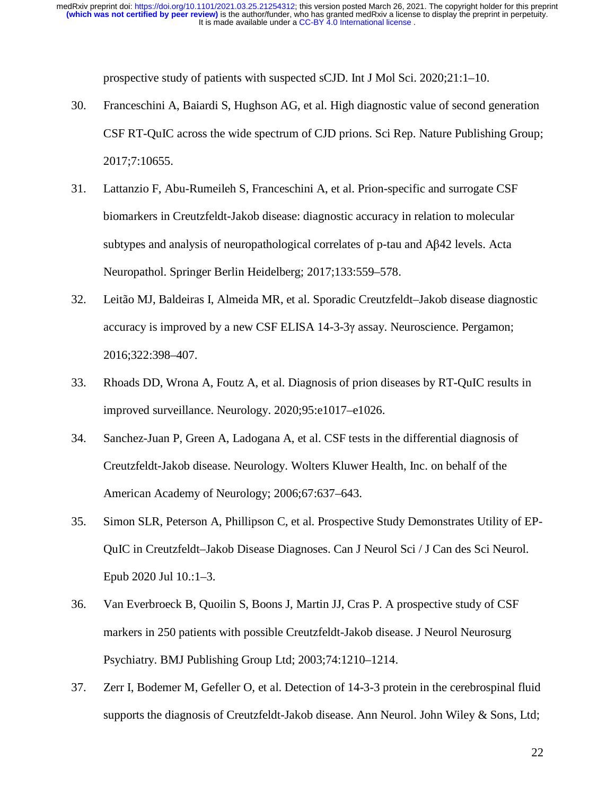prospective study of patients with suspected sCJD. Int J Mol Sci. 2020;21:1–10.

- 30. Franceschini A, Baiardi S, Hughson AG, et al. High diagnostic value of second generation CSF RT-QuIC across the wide spectrum of CJD prions. Sci Rep. Nature Publishing Group; 2017;7:10655.
- 31. Lattanzio F, Abu-Rumeileh S, Franceschini A, et al. Prion-specific and surrogate CSF biomarkers in Creutzfeldt-Jakob disease: diagnostic accuracy in relation to molecular subtypes and analysis of neuropathological correlates of p-tau and Aβ42 levels. Acta Neuropathol. Springer Berlin Heidelberg; 2017;133:559–578.
- 32. Leitão MJ, Baldeiras I, Almeida MR, et al. Sporadic Creutzfeldt–Jakob disease diagnostic accuracy is improved by a new CSF ELISA 14-3-3γ assay. Neuroscience. Pergamon; 2016;322:398–407.
- 33. Rhoads DD, Wrona A, Foutz A, et al. Diagnosis of prion diseases by RT-QuIC results in improved surveillance. Neurology. 2020;95:e1017–e1026.
- 34. Sanchez-Juan P, Green A, Ladogana A, et al. CSF tests in the differential diagnosis of Creutzfeldt-Jakob disease. Neurology. Wolters Kluwer Health, Inc. on behalf of the American Academy of Neurology; 2006;67:637–643.
- 35. Simon SLR, Peterson A, Phillipson C, et al. Prospective Study Demonstrates Utility of EP-QuIC in Creutzfeldt–Jakob Disease Diagnoses. Can J Neurol Sci / J Can des Sci Neurol. Epub 2020 Jul 10.:1–3.
- 36. Van Everbroeck B, Quoilin S, Boons J, Martin JJ, Cras P. A prospective study of CSF markers in 250 patients with possible Creutzfeldt-Jakob disease. J Neurol Neurosurg Psychiatry. BMJ Publishing Group Ltd; 2003;74:1210–1214.
- 37. Zerr I, Bodemer M, Gefeller O, et al. Detection of 14-3-3 protein in the cerebrospinal fluid supports the diagnosis of Creutzfeldt-Jakob disease. Ann Neurol. John Wiley & Sons, Ltd;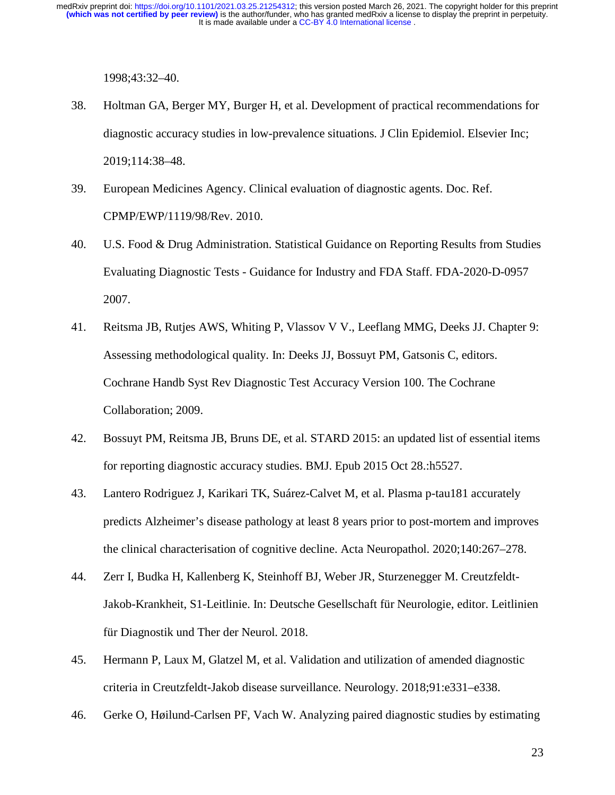1998;43:32–40.

- 38. Holtman GA, Berger MY, Burger H, et al. Development of practical recommendations for diagnostic accuracy studies in low-prevalence situations. J Clin Epidemiol. Elsevier Inc; 2019;114:38–48.
- 39. European Medicines Agency. Clinical evaluation of diagnostic agents. Doc. Ref. CPMP/EWP/1119/98/Rev. 2010.
- 40. U.S. Food & Drug Administration. Statistical Guidance on Reporting Results from Studies Evaluating Diagnostic Tests - Guidance for Industry and FDA Staff. FDA-2020-D-0957 2007.
- 41. Reitsma JB, Rutjes AWS, Whiting P, Vlassov V V., Leeflang MMG, Deeks JJ. Chapter 9: Assessing methodological quality. In: Deeks JJ, Bossuyt PM, Gatsonis C, editors. Cochrane Handb Syst Rev Diagnostic Test Accuracy Version 100. The Cochrane Collaboration; 2009.
- 42. Bossuyt PM, Reitsma JB, Bruns DE, et al. STARD 2015: an updated list of essential items for reporting diagnostic accuracy studies. BMJ. Epub 2015 Oct 28.:h5527.
- 43. Lantero Rodriguez J, Karikari TK, Suárez-Calvet M, et al. Plasma p-tau181 accurately predicts Alzheimer's disease pathology at least 8 years prior to post-mortem and improves the clinical characterisation of cognitive decline. Acta Neuropathol. 2020;140:267–278.
- 44. Zerr I, Budka H, Kallenberg K, Steinhoff BJ, Weber JR, Sturzenegger M. Creutzfeldt-Jakob-Krankheit, S1-Leitlinie. In: Deutsche Gesellschaft für Neurologie, editor. Leitlinien für Diagnostik und Ther der Neurol. 2018.
- 45. Hermann P, Laux M, Glatzel M, et al. Validation and utilization of amended diagnostic criteria in Creutzfeldt-Jakob disease surveillance. Neurology. 2018;91:e331–e338.
- 46. Gerke O, Høilund-Carlsen PF, Vach W. Analyzing paired diagnostic studies by estimating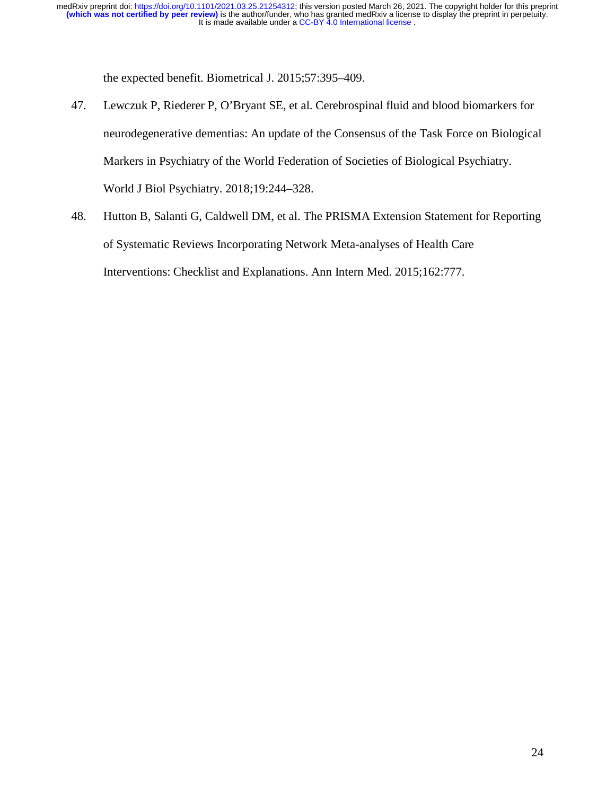the expected benefit. Biometrical J. 2015;57:395–409.

- 47. Lewczuk P, Riederer P, O'Bryant SE, et al. Cerebrospinal fluid and blood biomarkers for neurodegenerative dementias: An update of the Consensus of the Task Force on Biological Markers in Psychiatry of the World Federation of Societies of Biological Psychiatry. World J Biol Psychiatry. 2018;19:244–328.
- 48. Hutton B, Salanti G, Caldwell DM, et al. The PRISMA Extension Statement for Reporting of Systematic Reviews Incorporating Network Meta-analyses of Health Care Interventions: Checklist and Explanations. Ann Intern Med. 2015;162:777.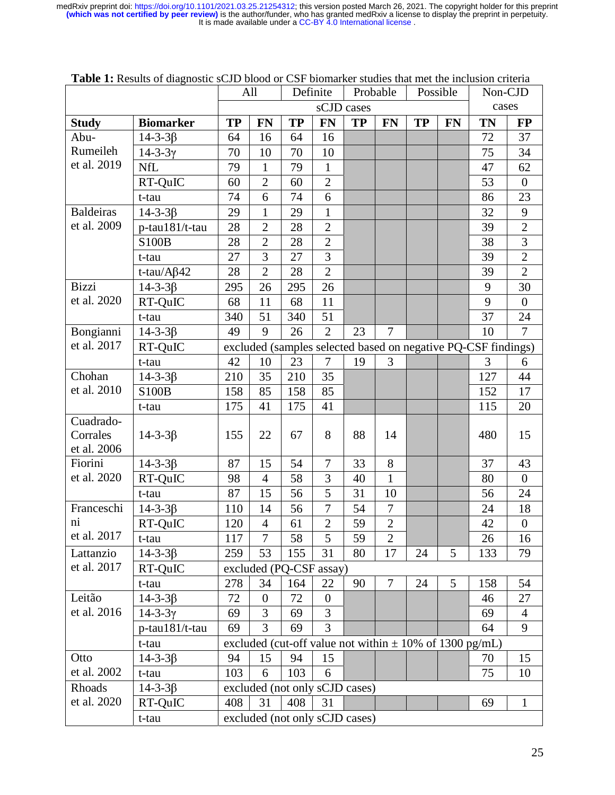| <b>ADIVALUATE OF GRILLIONIX SCUD DIVOU OF CDT</b> DIVIDENCE SURVICS THAT |                       | All                                                           |                | Definite                |                | Probable                       |                | Possible  |           | Non-CJD                                                     |                  |
|--------------------------------------------------------------------------|-----------------------|---------------------------------------------------------------|----------------|-------------------------|----------------|--------------------------------|----------------|-----------|-----------|-------------------------------------------------------------|------------------|
|                                                                          |                       |                                                               |                |                         |                | sCJD cases                     |                |           |           | cases                                                       |                  |
| <b>Study</b>                                                             | <b>Biomarker</b>      | <b>TP</b>                                                     | <b>FN</b>      | <b>TP</b>               | <b>FN</b>      | <b>TP</b>                      | <b>FN</b>      | <b>TP</b> | <b>FN</b> | <b>TN</b>                                                   | <b>FP</b>        |
| Abu-                                                                     | $14 - 3 - 38$         | 64                                                            | 16             | 64                      | 16             |                                |                |           |           | 72                                                          | 37               |
| Rumeileh                                                                 | $14 - 3 - 3y$         | 70                                                            | 10             | 70                      | 10             |                                |                |           |           | 75                                                          | 34               |
| et al. 2019                                                              | <b>NfL</b>            | 79                                                            | $\mathbf{1}$   | 79                      | $\mathbf{1}$   |                                |                |           |           | 47                                                          | 62               |
|                                                                          | RT-QuIC               | 60                                                            | $\overline{2}$ | 60                      | $\overline{2}$ |                                |                |           |           | 53                                                          | $\boldsymbol{0}$ |
|                                                                          | t-tau                 | 74                                                            | 6              | 74                      | 6              |                                |                |           |           | 86                                                          | 23               |
| <b>Baldeiras</b>                                                         | $14 - 3 - 3\beta$     | 29                                                            | $\mathbf{1}$   | 29                      | $\mathbf{1}$   |                                |                |           |           | 32                                                          | 9                |
| et al. 2009                                                              | p-tau181/t-tau        | 28                                                            | $\overline{2}$ | 28                      | $\overline{2}$ |                                |                |           |           | 39                                                          | $\overline{2}$   |
|                                                                          | S100B                 | 28                                                            | $\overline{2}$ | 28                      | $\overline{2}$ |                                |                |           |           | 38                                                          | $\overline{3}$   |
|                                                                          | t-tau                 | 27                                                            | 3              | 27                      | $\overline{3}$ |                                |                |           |           | 39                                                          | $\overline{2}$   |
|                                                                          | $t$ -tau/A $\beta$ 42 | 28                                                            | $\overline{2}$ | 28                      | $\overline{2}$ |                                |                |           |           | 39                                                          | $\overline{2}$   |
| <b>Bizzi</b>                                                             | $14 - 3 - 36$         | 295                                                           | 26             | 295                     | 26             |                                |                |           |           | 9                                                           | 30               |
| et al. 2020                                                              | RT-QuIC               | 68                                                            | 11             | 68                      | 11             |                                |                |           |           | 9                                                           | $\overline{0}$   |
|                                                                          | t-tau                 | 340                                                           | 51             | 340                     | 51             |                                |                |           |           | 37                                                          | 24               |
| Bongianni                                                                | $14 - 3 - 3\beta$     | 49                                                            | 9              | 26                      | $\overline{2}$ | 23                             | $\overline{7}$ |           |           | 10                                                          | $\overline{7}$   |
| et al. 2017                                                              | RT-QuIC               | excluded (samples selected based on negative PQ-CSF findings) |                |                         |                |                                |                |           |           |                                                             |                  |
|                                                                          | t-tau                 | 42                                                            | 10             | 23                      | $\overline{7}$ | 19                             | 3              |           |           | 3                                                           | 6                |
| Chohan                                                                   | $14 - 3 - 38$         | 210                                                           | 35             | 210                     | 35             |                                |                |           |           | 127                                                         | 44               |
| et al. 2010                                                              | S100B                 | 158                                                           | 85             | 158                     | 85             |                                |                |           |           | 152                                                         | 17               |
|                                                                          | t-tau                 | 175                                                           | 41             | 175                     | 41             |                                |                |           |           | 115                                                         | 20               |
| Cuadrado-                                                                |                       |                                                               |                |                         |                |                                |                |           |           |                                                             |                  |
| Corrales                                                                 | $14 - 3 - 36$         | 155                                                           | 22             | 67                      | 8              | 88                             | 14             |           |           | 480                                                         | 15               |
| et al. 2006                                                              |                       |                                                               |                |                         |                |                                |                |           |           |                                                             |                  |
| Fiorini                                                                  | $14 - 3 - 36$         | 87                                                            | 15             | 54                      | 7              | 33                             | 8              |           |           | 37                                                          | 43               |
| et al. 2020                                                              | RT-QuIC               | 98                                                            | $\overline{4}$ | 58                      | 3              | 40                             | $\mathbf{1}$   |           |           | 80                                                          | $\boldsymbol{0}$ |
|                                                                          | t-tau                 | 87                                                            | 15             | 56                      | 5              | 31                             | 10             |           |           | 56                                                          | 24               |
| Franceschi                                                               | $14 - 3 - 36$         | 110                                                           | 14             | 56                      | $\overline{7}$ | 54                             | $\overline{7}$ |           |           | 24                                                          | 18               |
| ni                                                                       | RT-QuIC               | 120                                                           | $\overline{4}$ | 61                      | $\overline{2}$ | 59                             | $\overline{2}$ |           |           | 42                                                          | $\boldsymbol{0}$ |
| et al. 2017                                                              | t-tau                 | 117                                                           | 7              | 58                      | 5              | 59                             | $\mathbf{2}$   |           |           | 26                                                          | 16               |
| Lattanzio                                                                | $14 - 3 - 3\beta$     | 259                                                           | 53             | 155                     | 31             | 80                             | 17             | 24        | 5         | 133                                                         | 79               |
| et al. 2017                                                              | RT-QuIC               |                                                               |                | excluded (PQ-CSF assay) |                |                                |                |           |           |                                                             |                  |
|                                                                          | t-tau                 | 278                                                           | 34             | 164                     | 22             | 90                             | 7              | 24        | 5         | 158                                                         | 54               |
| Leitão                                                                   | $14 - 3 - 3\beta$     | 72                                                            | $\overline{0}$ | 72                      | $\overline{0}$ |                                |                |           |           | 46                                                          | 27               |
| et al. 2016                                                              | $14 - 3 - 3y$         | 69                                                            | 3              | 69                      | 3              |                                |                |           |           | 69                                                          | $\overline{4}$   |
|                                                                          | p-tau181/t-tau        | 69                                                            | 3              | 69                      | $\overline{3}$ |                                |                |           |           | 64                                                          | 9                |
|                                                                          | t-tau                 |                                                               |                |                         |                |                                |                |           |           | excluded (cut-off value not within $\pm$ 10% of 1300 pg/mL) |                  |
| Otto                                                                     | $14 - 3 - 38$         | 94                                                            | 15             | 94                      | 15             |                                |                |           |           | 70                                                          | 15               |
| et al. 2002                                                              | t-tau                 | 103                                                           | 6              | 103                     | 6              |                                |                |           |           | 75                                                          | 10               |
| Rhoads                                                                   | $14 - 3 - 3\beta$     |                                                               |                |                         |                | excluded (not only sCJD cases) |                |           |           |                                                             |                  |
| et al. 2020                                                              | RT-QuIC               | 408                                                           | 31             | 408                     | 31             |                                |                |           |           | 69                                                          | $\mathbf{1}$     |
|                                                                          | t-tau                 |                                                               |                |                         |                | excluded (not only sCJD cases) |                |           |           |                                                             |                  |

| Table 1: Results of diagnostic sCJD blood or CSF biomarker studies that met the inclusion criteria |  |  |
|----------------------------------------------------------------------------------------------------|--|--|
|                                                                                                    |  |  |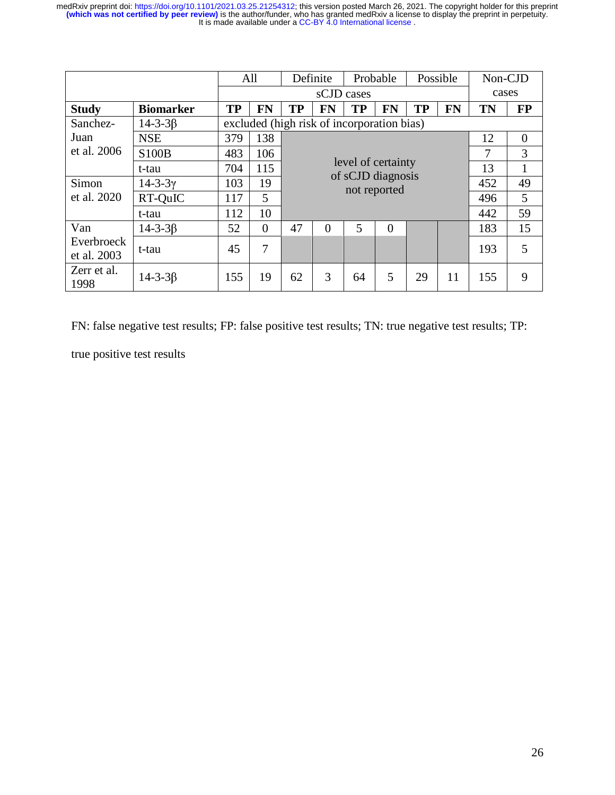|                           |                   | All                                        |                |                                                 | Definite  |           | Probable |           | Possible     |                | Non-CJD   |  |
|---------------------------|-------------------|--------------------------------------------|----------------|-------------------------------------------------|-----------|-----------|----------|-----------|--------------|----------------|-----------|--|
|                           | sCJD cases        |                                            |                |                                                 |           |           | cases    |           |              |                |           |  |
| <b>Study</b>              | <b>Biomarker</b>  | <b>TP</b>                                  | <b>FN</b>      | <b>TP</b>                                       | <b>FN</b> | <b>TP</b> | FN       | <b>TP</b> | <b>FN</b>    | <b>TN</b>      | <b>FP</b> |  |
| Sanchez-                  | $14 - 3 - 3\beta$ | excluded (high risk of incorporation bias) |                |                                                 |           |           |          |           |              |                |           |  |
| Juan                      | <b>NSE</b>        | 379                                        | 138            | level of certainty                              |           |           |          |           | 12           | $\overline{0}$ |           |  |
| et al. 2006               | <b>S100B</b>      | 483                                        | 106            |                                                 |           |           |          |           | 7            | 3              |           |  |
|                           | t-tau             | 704                                        | 115            |                                                 |           |           |          | 13        | $\mathbf{1}$ |                |           |  |
| Simon                     | $14 - 3 - 3y$     | 103                                        | 19             | of sCJD diagnosis<br>452<br>not reported<br>496 |           |           |          |           |              | 49             |           |  |
| et al. 2020               | RT-QuIC           | 117                                        | 5              |                                                 |           |           |          |           |              | 5              |           |  |
|                           | t-tau             | 112                                        | 10             |                                                 |           |           |          | 442       | 59           |                |           |  |
| Van                       | $14 - 3 - 38$     | 52                                         | $\overline{0}$ | 47                                              | $\theta$  | 5         | $\theta$ |           |              | 183            | 15        |  |
| Everbroeck<br>et al. 2003 | t-tau             | 45                                         | 7              |                                                 |           |           |          |           |              | 193            | 5         |  |
| Zerr et al.<br>1998       | $14 - 3 - 36$     | 155                                        | 19             | 62                                              | 3         | 64        | 5        | 29        | 11           | 155            | 9         |  |

FN: false negative test results; FP: false positive test results; TN: true negative test results; TP:

true positive test results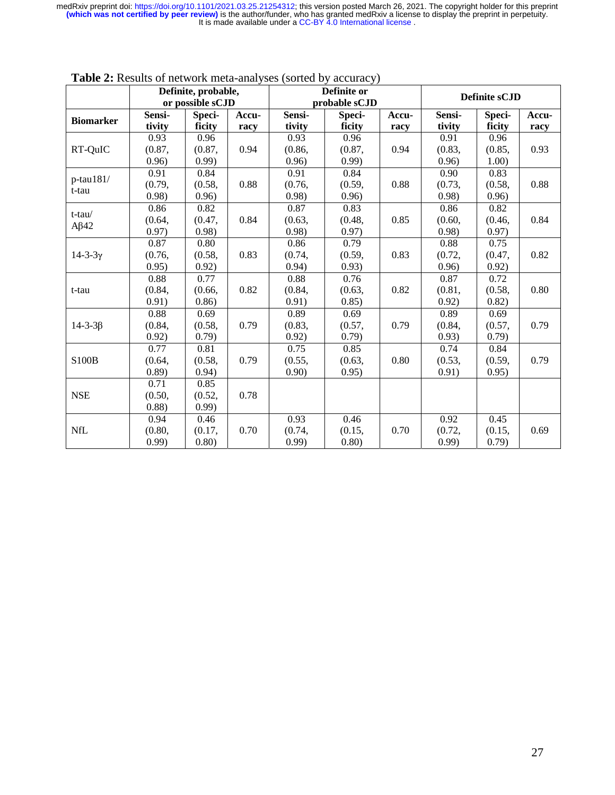|                  | Definite, probable,<br>or possible sCJD |        |       |        | Definite or<br>probable sCJD |       | <b>Definite sCJD</b> |        |       |
|------------------|-----------------------------------------|--------|-------|--------|------------------------------|-------|----------------------|--------|-------|
|                  | Sensi-                                  | Speci- | Accu- | Sensi- | Speci-                       | Accu- | Sensi-               | Speci- | Accu- |
| <b>Biomarker</b> | tivity                                  | ficity | racy  | tivity | ficity                       | racy  | tivity               | ficity | racy  |
|                  | 0.93                                    | 0.96   |       | 0.93   | 0.96                         |       | 0.91                 | 0.96   |       |
| RT-QuIC          | (0.87,                                  | (0.87, | 0.94  | (0.86, | (0.87,                       | 0.94  | (0.83,               | (0.85, | 0.93  |
|                  | 0.96)                                   | 0.99)  |       | 0.96)  | 0.99)                        |       | 0.96)                | 1.00)  |       |
|                  | 0.91                                    | 0.84   |       | 0.91   | 0.84                         |       | 0.90                 | 0.83   |       |
| p-tau181/        | (0.79,                                  | (0.58, | 0.88  | (0.76, | (0.59,                       | 0.88  | (0.73,               | (0.58, | 0.88  |
| t-tau            | 0.98                                    | 0.96)  |       | 0.98)  | 0.96)                        |       | 0.98)                | 0.96)  |       |
|                  | 0.86                                    | 0.82   |       | 0.87   | 0.83                         |       | 0.86                 | 0.82   |       |
| $t$ -tau $/$     | (0.64,                                  | (0.47, | 0.84  | (0.63, | (0.48,                       | 0.85  | (0.60,               | (0.46, | 0.84  |
| $A\beta42$       | 0.97)                                   | 0.98   |       | 0.98)  | 0.97)                        |       | 0.98)                | 0.97)  |       |
|                  | 0.87                                    | 0.80   |       | 0.86   | 0.79                         |       | 0.88                 | 0.75   |       |
| $14 - 3 - 3y$    | (0.76,                                  | (0.58, | 0.83  | (0.74, | (0.59,                       | 0.83  | (0.72,               | (0.47, | 0.82  |
|                  | 0.95)                                   | 0.92)  |       | 0.94)  | 0.93)                        |       | 0.96)                | 0.92)  |       |
|                  | 0.88                                    | 0.77   |       | 0.88   | 0.76                         |       | 0.87                 | 0.72   |       |
| t-tau            | (0.84,                                  | (0.66, | 0.82  | (0.84, | (0.63,                       | 0.82  | (0.81,               | (0.58, | 0.80  |
|                  | 0.91)                                   | 0.86)  |       | 0.91)  | 0.85)                        |       | 0.92)                | 0.82)  |       |
|                  | 0.88                                    | 0.69   |       | 0.89   | 0.69                         |       | 0.89                 | 0.69   |       |
| $14 - 3 - 36$    | (0.84,                                  | (0.58, | 0.79  | (0.83, | (0.57,                       | 0.79  | (0.84,               | (0.57, | 0.79  |
|                  | 0.92)                                   | 0.79)  |       | 0.92)  | 0.79)                        |       | 0.93)                | 0.79)  |       |
|                  | 0.77                                    | 0.81   |       | 0.75   | 0.85                         |       | 0.74                 | 0.84   |       |
| <b>S100B</b>     | (0.64,                                  | (0.58, | 0.79  | (0.55, | (0.63,                       | 0.80  | (0.53,               | (0.59, | 0.79  |
|                  | (0.89)                                  | 0.94)  |       | 0.90)  | 0.95)                        |       | 0.91)                | 0.95)  |       |
|                  | 0.71                                    | 0.85   |       |        |                              |       |                      |        |       |
| <b>NSE</b>       | (0.50,                                  | (0.52, | 0.78  |        |                              |       |                      |        |       |
|                  | (0.88)                                  | 0.99)  |       |        |                              |       |                      |        |       |
|                  | 0.94                                    | 0.46   |       | 0.93   | 0.46                         |       | 0.92                 | 0.45   |       |
| <b>NfL</b>       | (0.80,                                  | (0.17, | 0.70  | (0.74, | (0.15,                       | 0.70  | (0.72,               | (0.15, | 0.69  |
|                  | (0.99)                                  | 0.80)  |       | 0.99)  | 0.80)                        |       | 0.99)                | 0.79)  |       |

**Table 2:** Results of network meta-analyses (sorted by accuracy)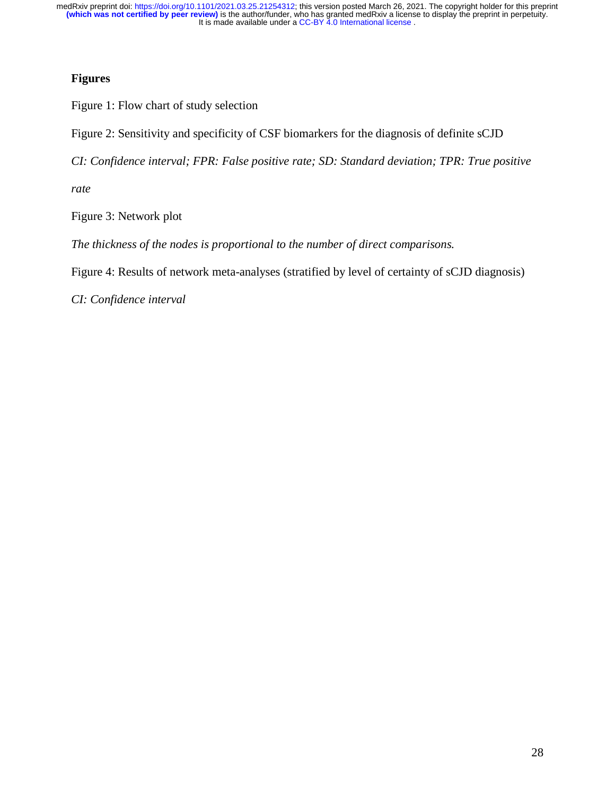## **Figures**

Figure 1: Flow chart of study selection

Figure 2: Sensitivity and specificity of CSF biomarkers for the diagnosis of definite sCJD

*CI: Confidence interval; FPR: False positive rate; SD: Standard deviation; TPR: True positive* 

*rate* 

Figure 3: Network plot

*The thickness of the nodes is proportional to the number of direct comparisons.* 

Figure 4: Results of network meta-analyses (stratified by level of certainty of sCJD diagnosis)

*CI: Confidence interval*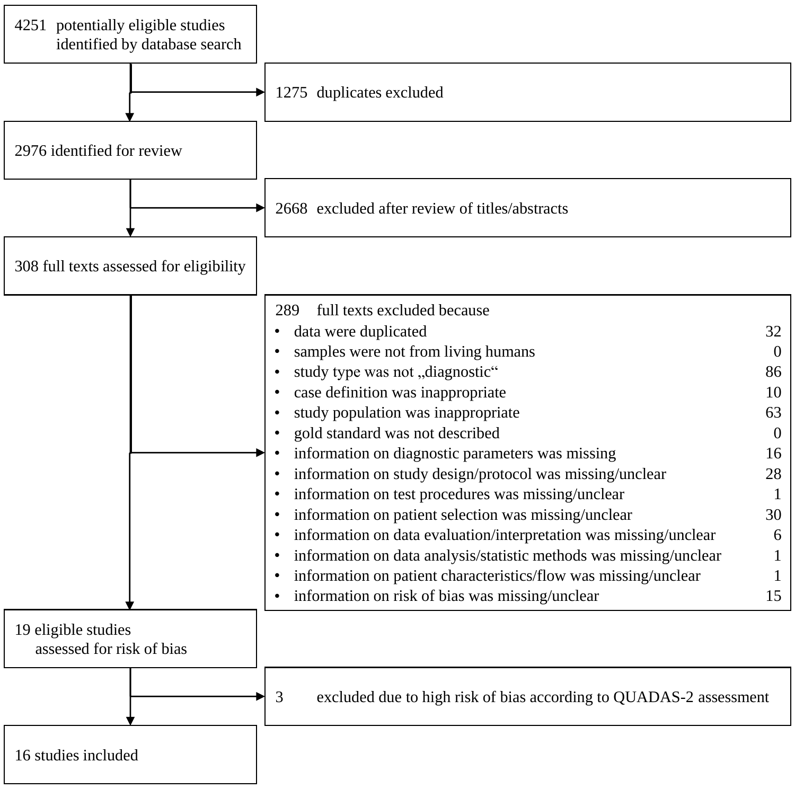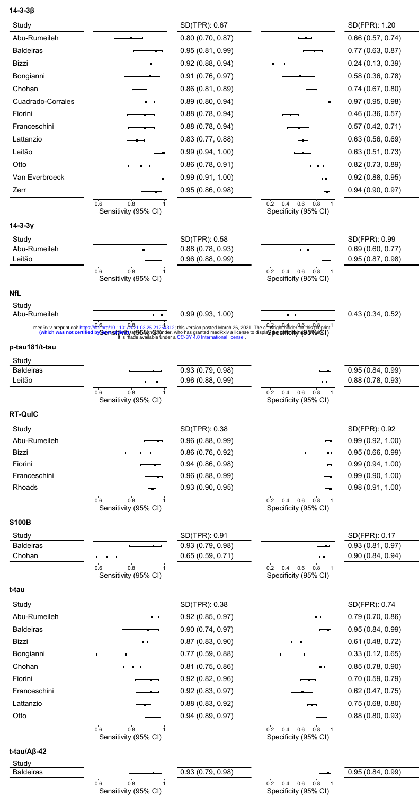| <b>Study</b>           |                                    | SD(TPR): 0.91    |                                                                  | SD(FPR): 0.17       |
|------------------------|------------------------------------|------------------|------------------------------------------------------------------|---------------------|
| <b>Baldeiras</b>       |                                    | 0.93(0.79, 0.98) |                                                                  | 0.93(0.81, 0.97)    |
| Chohan                 |                                    | 0.65(0.59, 0.71) |                                                                  | 0.90(0.84, 0.94)    |
|                        | 0.8<br>0.6<br>Sensitivity (95% CI) |                  | 0.2<br>0.6<br>0.8<br>0.4<br>Specificity (95% CI)                 |                     |
| t-tau                  |                                    |                  |                                                                  |                     |
| Study                  |                                    | SD(TPR): 0.38    |                                                                  | SD(FPR): 0.74       |
| Abu-Rumeileh           |                                    | 0.92(0.85, 0.97) |                                                                  | 0.79(0.70, 0.86)    |
| <b>Baldeiras</b>       |                                    | 0.90(0.74, 0.97) |                                                                  | 0.95(0.84, 0.99)    |
| <b>Bizzi</b>           | دە                                 | 0.87(0.83, 0.90) |                                                                  | 0.61(0.48, 0.72)    |
| Bongianni              |                                    | 0.77(0.59, 0.88) |                                                                  | 0.33(0.12, 0.65)    |
| Chohan                 |                                    | 0.81(0.75, 0.86) |                                                                  | 0.85(0.78, 0.90)    |
| Fiorini                |                                    | 0.92(0.82, 0.96) |                                                                  | 0.70(0.59, 0.79)    |
| Franceschini           |                                    | 0.92(0.83, 0.97) |                                                                  | $0.62$ (0.47, 0.75) |
| Lattanzio              |                                    | 0.88(0.83, 0.92) |                                                                  | 0.75(0.68, 0.80)    |
| Otto                   |                                    | 0.94(0.89, 0.97) |                                                                  | 0.88(0.80, 0.93)    |
|                        | 0.6<br>0.8<br>Sensitivity (95% CI) |                  | 0.2<br>0.6<br>0.4<br>0.8<br>$\mathbf{1}$<br>Specificity (95% CI) |                     |
| $t$ -tau/A $\beta$ -42 |                                    |                  |                                                                  |                     |
| Study                  |                                    |                  |                                                                  |                     |
| <b>Baldeiras</b>       |                                    | 0.93(0.79, 0.98) |                                                                  | 0.95(0.84, 0.99)    |
|                        | 0.6<br>0.8<br>Sensitivity (95% CI) |                  | 0.6<br>0.2<br>0.4<br>0.8<br>Specificity (95% CI)                 |                     |

**S100B**

| Study                    |                                                                                                                                                                                                                                        | SD(TPR): 0.67    |                                                  | SD(FPR): 1.20    |
|--------------------------|----------------------------------------------------------------------------------------------------------------------------------------------------------------------------------------------------------------------------------------|------------------|--------------------------------------------------|------------------|
| Abu-Rumeileh             |                                                                                                                                                                                                                                        | 0.80(0.70, 0.87) |                                                  | 0.66(0.57, 0.74) |
| <b>Baldeiras</b>         |                                                                                                                                                                                                                                        | 0.95(0.81, 0.99) |                                                  | 0.77(0.63, 0.87) |
| <b>Bizzi</b>             |                                                                                                                                                                                                                                        | 0.92(0.88, 0.94) |                                                  | 0.24(0.13, 0.39) |
| Bongianni                |                                                                                                                                                                                                                                        | 0.91(0.76, 0.97) |                                                  | 0.58(0.36, 0.78) |
| Chohan                   |                                                                                                                                                                                                                                        | 0.86(0.81, 0.89) |                                                  | 0.74(0.67, 0.80) |
| <b>Cuadrado-Corrales</b> |                                                                                                                                                                                                                                        | 0.89(0.80, 0.94) | $\blacksquare$                                   | 0.97(0.95, 0.98) |
| Fiorini                  |                                                                                                                                                                                                                                        | 0.88(0.78, 0.94) |                                                  | 0.46(0.36, 0.57) |
| Franceschini             |                                                                                                                                                                                                                                        | 0.88(0.78, 0.94) |                                                  | 0.57(0.42, 0.71) |
| Lattanzio                |                                                                                                                                                                                                                                        | 0.83(0.77, 0.88) |                                                  | 0.63(0.56, 0.69) |
| Leitão                   |                                                                                                                                                                                                                                        | 0.99(0.94, 1.00) |                                                  | 0.63(0.51, 0.73) |
| Otto                     |                                                                                                                                                                                                                                        | 0.86(0.78, 0.91) |                                                  | 0.82(0.73, 0.89) |
| Van Everbroeck           |                                                                                                                                                                                                                                        | 0.99(0.91, 1.00) | ны                                               | 0.92(0.88, 0.95) |
| Zerr                     |                                                                                                                                                                                                                                        | 0.95(0.86, 0.98) | HЫ                                               | 0.94(0.90, 0.97) |
|                          | 0.6<br>0.8<br>Sensitivity (95% CI)                                                                                                                                                                                                     |                  | 0.2<br>0.6<br>0.4<br>0.8<br>Specificity (95% CI) |                  |
| $14 - 3 - 3y$            |                                                                                                                                                                                                                                        |                  |                                                  |                  |
| Study                    |                                                                                                                                                                                                                                        | SD(TPR): 0.58    |                                                  | SD(FPR): 0.99    |
| Abu-Rumeileh             |                                                                                                                                                                                                                                        | 0.88(0.78, 0.93) |                                                  | 0.69(0.60, 0.77) |
| Leitão                   |                                                                                                                                                                                                                                        | 0.96(0.88, 0.99) |                                                  | 0.95(0.87, 0.98) |
|                          | 0.6<br>0.8<br>Sensitivity (95% CI)                                                                                                                                                                                                     |                  | $0.2$ $0.4$ $0.6$<br>0.8<br>Specificity (95% CI) |                  |
| <b>NfL</b>               |                                                                                                                                                                                                                                        |                  |                                                  |                  |
| Study                    |                                                                                                                                                                                                                                        |                  |                                                  |                  |
| Abu-Rumeileh             |                                                                                                                                                                                                                                        | 0.99(0.93, 1.00) |                                                  | 0.43(0.34, 0.52) |
|                          | medRxiv preprint doi: https://90.0rg/10.1101/2021.03.25.21254312; this version posted March 26, 2021. The copyright hadder for this papint 1<br>(which was not certified by <b>sen sitivity is (95.21.25.41312;</b> this version poste |                  |                                                  |                  |
| p-tau181/t-tau           |                                                                                                                                                                                                                                        |                  |                                                  |                  |
| Study                    |                                                                                                                                                                                                                                        |                  |                                                  |                  |
| <b>Baldeiras</b>         |                                                                                                                                                                                                                                        | 0.93(0.79, 0.98) |                                                  | 0.95(0.84, 0.99) |
| Leitão                   |                                                                                                                                                                                                                                        | 0.96(0.88, 0.99) |                                                  | 0.88(0.78, 0.93) |
|                          | 0.6<br>0.8<br>Sensitivity (95% CI)                                                                                                                                                                                                     |                  | 0.2<br>0.4<br>0.6<br>0.8<br>Specificity (95% CI) |                  |
| <b>RT-QuIC</b>           |                                                                                                                                                                                                                                        |                  |                                                  |                  |
| Study                    |                                                                                                                                                                                                                                        | SD(TPR): 0.38    |                                                  | SD(FPR): 0.92    |
| Abu-Rumeileh             |                                                                                                                                                                                                                                        | 0.96(0.88, 0.99) | −                                                | 0.99(0.92, 1.00) |
| <b>Bizzi</b>             |                                                                                                                                                                                                                                        | 0.86(0.76, 0.92) |                                                  | 0.95(0.66, 0.99) |
| Fiorini                  |                                                                                                                                                                                                                                        | 0.94(0.86, 0.98) | Н                                                | 0.99(0.94, 1.00) |
| Franceschini             |                                                                                                                                                                                                                                        | 0.96(0.88, 0.99) | ╼                                                | 0.99(0.90, 1.00) |
| <b>Rhoads</b>            | ⊶⊷                                                                                                                                                                                                                                     | 0.93(0.90, 0.95) | ⊷                                                | 0.98(0.91, 1.00) |
|                          | 0.6<br>0.8<br>Sensitivity (95% CI)                                                                                                                                                                                                     |                  | 0.2<br>0.4<br>0.6<br>0.8<br>Specificity (95% CI) |                  |

# **14-3-3β**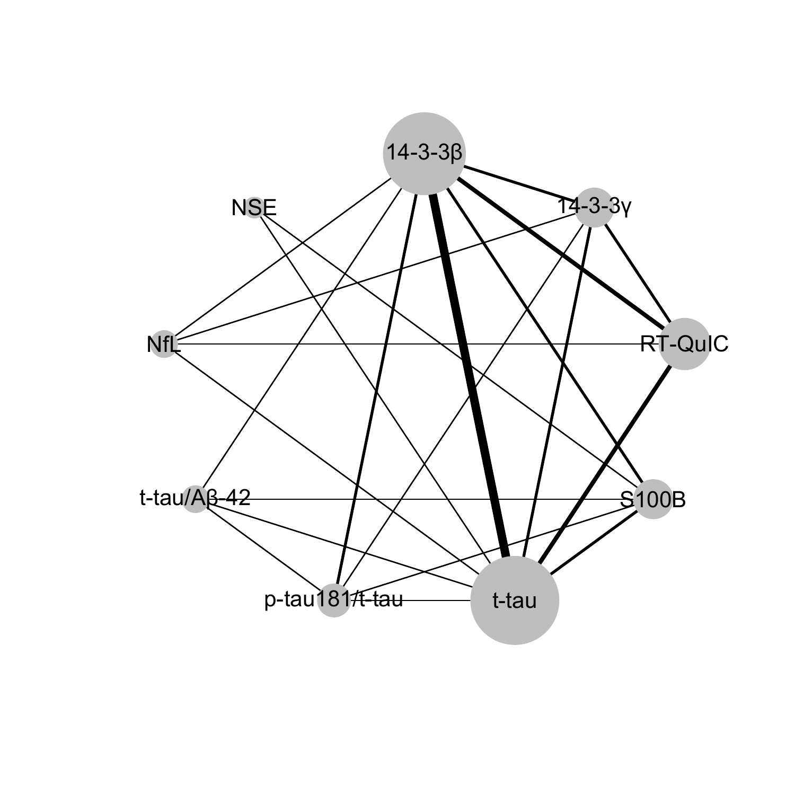